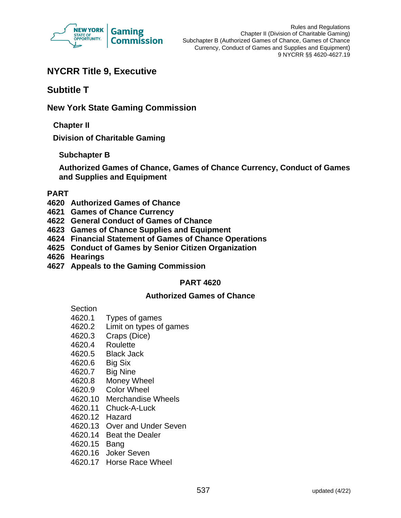

# **NYCRR Title 9, Executive**

# **Subtitle T**

# **New York State Gaming Commission**

**Chapter II**

**Division of Charitable Gaming**

# **Subchapter B**

**Authorized Games of Chance, Games of Chance Currency, Conduct of Games and Supplies and Equipment**

## **PART**

- **4620 Authorized Games of Chance**
- **4621 Games of Chance Currency**
- **4622 General Conduct of Games of Chance**
- **4623 Games of Chance Supplies and Equipment**
- **4624 Financial Statement of Games of Chance Operations**
- **4625 Conduct of Games by Senior Citizen Organization**
- **4626 Hearings**
- **4627 Appeals to the Gaming Commission**

# **PART 4620**

## **Authorized Games of Chance**

Section

- 4620.1 Types of games
- 4620.2 Limit on types of games
- 4620.3 Craps (Dice)
- 4620.4 Roulette
- 4620.5 Black Jack
- 4620.6 Big Six
- 4620.7 Big Nine
- 4620.8 Money Wheel
- 4620.9 Color Wheel
- 4620.10 Merchandise Wheels
- 4620.11 Chuck-A-Luck
- 4620.12 Hazard
- 4620.13 Over and Under Seven
- 4620.14 Beat the Dealer
- 4620.15 Bang
- 4620.16 Joker Seven
- 4620.17 Horse Race Wheel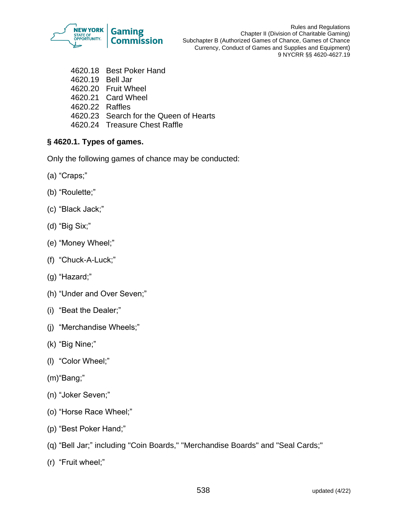

Rules and Regulations Chapter II (Division of Charitable Gaming) Subchapter B (Authorized Games of Chance, Games of Chance Currency, Conduct of Games and Supplies and Equipment) 9 NYCRR §§ 4620-4627.19

- 4620.18 Best Poker Hand
- 4620.19 Bell Jar
- 4620.20 Fruit Wheel
- 4620.21 Card Wheel
- 4620.22 Raffles
- 4620.23 Search for the Queen of Hearts
- 4620.24 Treasure Chest Raffle

# **§ 4620.1. Types of games.**

Only the following games of chance may be conducted:

- (a) "Craps;"
- (b) "Roulette;"
- (c) "Black Jack;"
- (d) "Big Six;"
- (e) "Money Wheel;"
- (f) "Chuck-A-Luck;"
- (g) "Hazard;"
- (h) "Under and Over Seven;"
- (i) "Beat the Dealer;"
- (j) "Merchandise Wheels;"
- (k) "Big Nine;"
- (l) "Color Wheel;"
- (m)"Bang;"
- (n) "Joker Seven;"
- (o) "Horse Race Wheel;"
- (p) "Best Poker Hand;"
- (q) "Bell Jar;" including "Coin Boards," "Merchandise Boards" and "Seal Cards;"
- (r) "Fruit wheel;"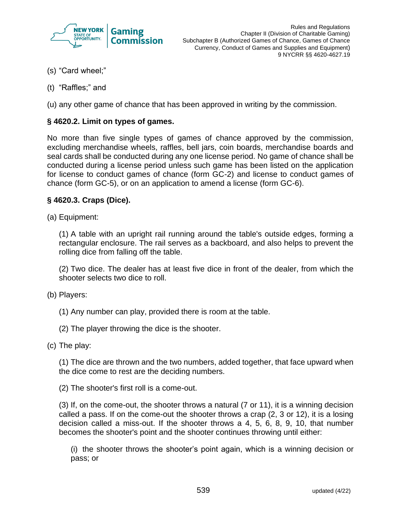

- (s) "Card wheel;"
- (t) "Raffles;" and

(u) any other game of chance that has been approved in writing by the commission.

## **§ 4620.2. Limit on types of games.**

No more than five single types of games of chance approved by the commission, excluding merchandise wheels, raffles, bell jars, coin boards, merchandise boards and seal cards shall be conducted during any one license period. No game of chance shall be conducted during a license period unless such game has been listed on the application for license to conduct games of chance (form GC-2) and license to conduct games of chance (form GC-5), or on an application to amend a license (form GC-6).

## **§ 4620.3. Craps (Dice).**

(a) Equipment:

(1) A table with an upright rail running around the table's outside edges, forming a rectangular enclosure. The rail serves as a backboard, and also helps to prevent the rolling dice from falling off the table.

(2) Two dice. The dealer has at least five dice in front of the dealer, from which the shooter selects two dice to roll.

- (b) Players:
	- (1) Any number can play, provided there is room at the table.
	- (2) The player throwing the dice is the shooter.
- (c) The play:

(1) The dice are thrown and the two numbers, added together, that face upward when the dice come to rest are the deciding numbers.

(2) The shooter's first roll is a come-out.

(3) If, on the come-out, the shooter throws a natural (7 or 11), it is a winning decision called a pass. If on the come-out the shooter throws a crap (2, 3 or 12), it is a losing decision called a miss-out. If the shooter throws a 4, 5, 6, 8, 9, 10, that number becomes the shooter's point and the shooter continues throwing until either:

(i) the shooter throws the shooter's point again, which is a winning decision or pass; or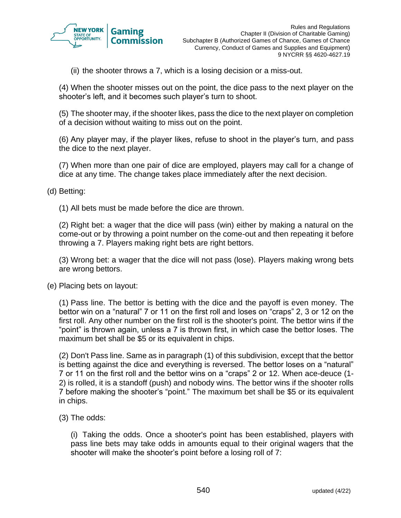

(ii) the shooter throws a 7, which is a losing decision or a miss-out.

(4) When the shooter misses out on the point, the dice pass to the next player on the shooter's left, and it becomes such player's turn to shoot.

(5) The shooter may, if the shooter likes, pass the dice to the next player on completion of a decision without waiting to miss out on the point.

(6) Any player may, if the player likes, refuse to shoot in the player's turn, and pass the dice to the next player.

(7) When more than one pair of dice are employed, players may call for a change of dice at any time. The change takes place immediately after the next decision.

(d) Betting:

(1) All bets must be made before the dice are thrown.

(2) Right bet: a wager that the dice will pass (win) either by making a natural on the come-out or by throwing a point number on the come-out and then repeating it before throwing a 7. Players making right bets are right bettors.

(3) Wrong bet: a wager that the dice will not pass (lose). Players making wrong bets are wrong bettors.

(e) Placing bets on layout:

(1) Pass line. The bettor is betting with the dice and the payoff is even money. The bettor win on a "natural" 7 or 11 on the first roll and loses on "craps" 2, 3 or 12 on the first roll. Any other number on the first roll is the shooter's point. The bettor wins if the "point" is thrown again, unless a 7 is thrown first, in which case the bettor loses. The maximum bet shall be \$5 or its equivalent in chips.

(2) Don't Pass line. Same as in paragraph (1) of this subdivision, except that the bettor is betting against the dice and everything is reversed. The bettor loses on a "natural" 7 or 11 on the first roll and the bettor wins on a "craps" 2 or 12. When ace-deuce (1- 2) is rolled, it is a standoff (push) and nobody wins. The bettor wins if the shooter rolls 7 before making the shooter's "point." The maximum bet shall be \$5 or its equivalent in chips.

(3) The odds:

(i) Taking the odds. Once a shooter's point has been established, players with pass line bets may take odds in amounts equal to their original wagers that the shooter will make the shooter's point before a losing roll of 7: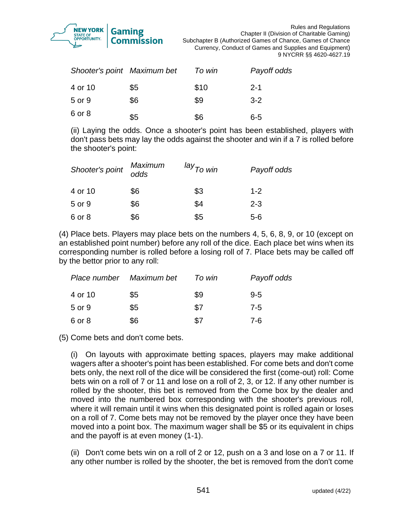

| Shooter's point Maximum bet |     | To win | Payoff odds |
|-----------------------------|-----|--------|-------------|
| 4 or 10                     | \$5 | \$10   | $2 - 1$     |
| 5 or 9                      | \$6 | \$9    | $3 - 2$     |
| 6 or 8                      | \$5 | \$6    | $6 - 5$     |

(ii) Laying the odds. Once a shooter's point has been established, players with don't pass bets may lay the odds against the shooter and win if a 7 is rolled before the shooter's point:

| Shooter's point | <b>Maximum</b><br>odds | <sup>lay</sup> To win | Payoff odds |
|-----------------|------------------------|-----------------------|-------------|
| 4 or 10         | \$6                    | \$3                   | $1 - 2$     |
| 5 or 9          | \$6                    | \$4                   | $2 - 3$     |
| 6 or 8          | \$6                    | \$5                   | $5-6$       |

(4) Place bets. Players may place bets on the numbers 4, 5, 6, 8, 9, or 10 (except on an established point number) before any roll of the dice. Each place bet wins when its corresponding number is rolled before a losing roll of 7. Place bets may be called off by the bettor prior to any roll:

| Place number Maximum bet |     | To win | Payoff odds |
|--------------------------|-----|--------|-------------|
| 4 or 10                  | \$5 | \$9    | $9 - 5$     |
| 5 or 9                   | \$5 | \$7    | $7 - 5$     |
| 6 or 8                   | \$6 | \$7    | 7-6         |

(5) Come bets and don't come bets.

(i) On layouts with approximate betting spaces, players may make additional wagers after a shooter's point has been established. For come bets and don't come bets only, the next roll of the dice will be considered the first (come-out) roll: Come bets win on a roll of 7 or 11 and lose on a roll of 2, 3, or 12. If any other number is rolled by the shooter, this bet is removed from the Come box by the dealer and moved into the numbered box corresponding with the shooter's previous roll, where it will remain until it wins when this designated point is rolled again or loses on a roll of 7. Come bets may not be removed by the player once they have been moved into a point box. The maximum wager shall be \$5 or its equivalent in chips and the payoff is at even money (1-1).

(ii) Don't come bets win on a roll of 2 or 12, push on a 3 and lose on a 7 or 11. If any other number is rolled by the shooter, the bet is removed from the don't come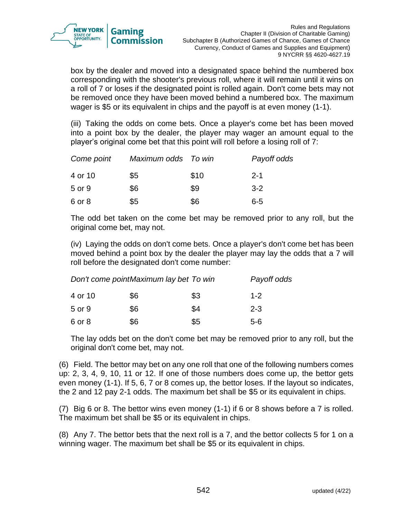

box by the dealer and moved into a designated space behind the numbered box corresponding with the shooter's previous roll, where it will remain until it wins on a roll of 7 or loses if the designated point is rolled again. Don't come bets may not be removed once they have been moved behind a numbered box. The maximum wager is \$5 or its equivalent in chips and the payoff is at even money (1-1).

(iii) Taking the odds on come bets. Once a player's come bet has been moved into a point box by the dealer, the player may wager an amount equal to the player's original come bet that this point will roll before a losing roll of 7:

| Come point | Maximum odds To win |      | Payoff odds |
|------------|---------------------|------|-------------|
| 4 or 10    | \$5                 | \$10 | $2 - 1$     |
| 5 or 9     | \$6                 | \$9  | $3 - 2$     |
| 6 or 8     | \$5                 | \$6  | 6-5         |

The odd bet taken on the come bet may be removed prior to any roll, but the original come bet, may not.

(iv) Laying the odds on don't come bets. Once a player's don't come bet has been moved behind a point box by the dealer the player may lay the odds that a 7 will roll before the designated don't come number:

| Don't come point Maximum lay bet To win | Payoff odds |     |         |
|-----------------------------------------|-------------|-----|---------|
| 4 or 10                                 | \$6         | \$3 | $1 - 2$ |
| 5 or 9                                  | \$6         | \$4 | $2 - 3$ |
| 6 or 8                                  | \$6         | \$5 | 5-6     |

The lay odds bet on the don't come bet may be removed prior to any roll, but the original don't come bet, may not.

(6) Field. The bettor may bet on any one roll that one of the following numbers comes up: 2, 3, 4, 9, 10, 11 or 12. If one of those numbers does come up, the bettor gets even money (1-1). If 5, 6, 7 or 8 comes up, the bettor loses. If the layout so indicates, the 2 and 12 pay 2-1 odds. The maximum bet shall be \$5 or its equivalent in chips.

(7) Big 6 or 8. The bettor wins even money (1-1) if 6 or 8 shows before a 7 is rolled. The maximum bet shall be \$5 or its equivalent in chips.

(8) Any 7. The bettor bets that the next roll is a 7, and the bettor collects 5 for 1 on a winning wager. The maximum bet shall be \$5 or its equivalent in chips.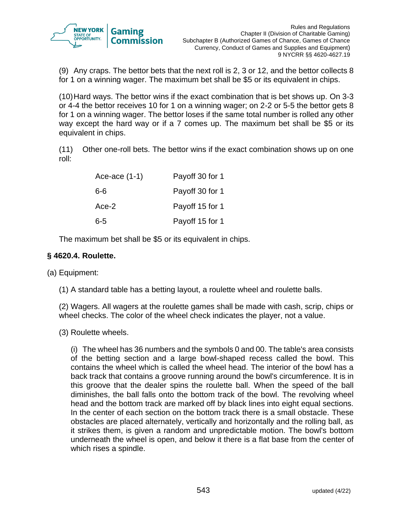

(9) Any craps. The bettor bets that the next roll is 2, 3 or 12, and the bettor collects 8 for 1 on a winning wager. The maximum bet shall be \$5 or its equivalent in chips.

(10)Hard ways. The bettor wins if the exact combination that is bet shows up. On 3-3 or 4-4 the bettor receives 10 for 1 on a winning wager; on 2-2 or 5-5 the bettor gets 8 for 1 on a winning wager. The bettor loses if the same total number is rolled any other way except the hard way or if a 7 comes up. The maximum bet shall be \$5 or its equivalent in chips.

(11) Other one-roll bets. The bettor wins if the exact combination shows up on one roll:

| Ace-ace $(1-1)$ | Payoff 30 for 1 |
|-----------------|-----------------|
| $6-6$           | Payoff 30 for 1 |
| Ace-2           | Payoff 15 for 1 |
| $6 - 5$         | Payoff 15 for 1 |

The maximum bet shall be \$5 or its equivalent in chips.

## **§ 4620.4. Roulette.**

(a) Equipment:

(1) A standard table has a betting layout, a roulette wheel and roulette balls.

(2) Wagers. All wagers at the roulette games shall be made with cash, scrip, chips or wheel checks. The color of the wheel check indicates the player, not a value.

(3) Roulette wheels.

(i) The wheel has 36 numbers and the symbols 0 and 00. The table's area consists of the betting section and a large bowl-shaped recess called the bowl. This contains the wheel which is called the wheel head. The interior of the bowl has a back track that contains a groove running around the bowl's circumference. It is in this groove that the dealer spins the roulette ball. When the speed of the ball diminishes, the ball falls onto the bottom track of the bowl. The revolving wheel head and the bottom track are marked off by black lines into eight equal sections. In the center of each section on the bottom track there is a small obstacle. These obstacles are placed alternately, vertically and horizontally and the rolling ball, as it strikes them, is given a random and unpredictable motion. The bowl's bottom underneath the wheel is open, and below it there is a flat base from the center of which rises a spindle.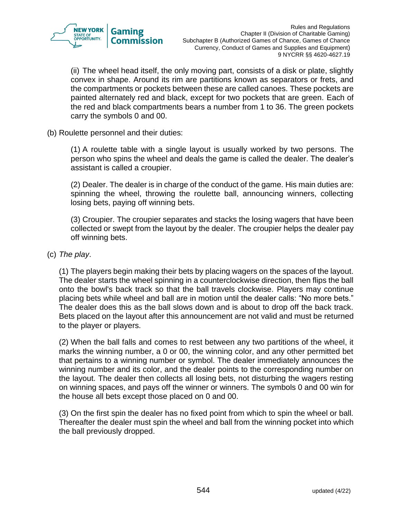

(ii) The wheel head itself, the only moving part, consists of a disk or plate, slightly convex in shape. Around its rim are partitions known as separators or frets, and the compartments or pockets between these are called canoes. These pockets are painted alternately red and black, except for two pockets that are green. Each of the red and black compartments bears a number from 1 to 36. The green pockets carry the symbols 0 and 00.

(b) Roulette personnel and their duties:

(1) A roulette table with a single layout is usually worked by two persons. The person who spins the wheel and deals the game is called the dealer. The dealer's assistant is called a croupier.

(2) Dealer. The dealer is in charge of the conduct of the game. His main duties are: spinning the wheel, throwing the roulette ball, announcing winners, collecting losing bets, paying off winning bets.

(3) Croupier. The croupier separates and stacks the losing wagers that have been collected or swept from the layout by the dealer. The croupier helps the dealer pay off winning bets.

#### (c) *The play*.

(1) The players begin making their bets by placing wagers on the spaces of the layout. The dealer starts the wheel spinning in a counterclockwise direction, then flips the ball onto the bowl's back track so that the ball travels clockwise. Players may continue placing bets while wheel and ball are in motion until the dealer calls: "No more bets." The dealer does this as the ball slows down and is about to drop off the back track. Bets placed on the layout after this announcement are not valid and must be returned to the player or players.

(2) When the ball falls and comes to rest between any two partitions of the wheel, it marks the winning number, a 0 or 00, the winning color, and any other permitted bet that pertains to a winning number or symbol. The dealer immediately announces the winning number and its color, and the dealer points to the corresponding number on the layout. The dealer then collects all losing bets, not disturbing the wagers resting on winning spaces, and pays off the winner or winners. The symbols 0 and 00 win for the house all bets except those placed on 0 and 00.

(3) On the first spin the dealer has no fixed point from which to spin the wheel or ball. Thereafter the dealer must spin the wheel and ball from the winning pocket into which the ball previously dropped.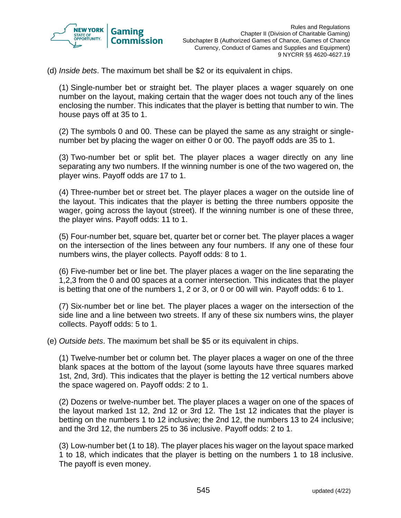

(d) *Inside bets*. The maximum bet shall be \$2 or its equivalent in chips.

(1) Single-number bet or straight bet. The player places a wager squarely on one number on the layout, making certain that the wager does not touch any of the lines enclosing the number. This indicates that the player is betting that number to win. The house pays off at 35 to 1.

(2) The symbols 0 and 00. These can be played the same as any straight or singlenumber bet by placing the wager on either 0 or 00. The payoff odds are 35 to 1.

(3) Two-number bet or split bet. The player places a wager directly on any line separating any two numbers. If the winning number is one of the two wagered on, the player wins. Payoff odds are 17 to 1.

(4) Three-number bet or street bet. The player places a wager on the outside line of the layout. This indicates that the player is betting the three numbers opposite the wager, going across the layout (street). If the winning number is one of these three, the player wins. Payoff odds: 11 to 1.

(5) Four-number bet, square bet, quarter bet or corner bet. The player places a wager on the intersection of the lines between any four numbers. If any one of these four numbers wins, the player collects. Payoff odds: 8 to 1.

(6) Five-number bet or line bet. The player places a wager on the line separating the 1,2,3 from the 0 and 00 spaces at a corner intersection. This indicates that the player is betting that one of the numbers 1, 2 or 3, or 0 or 00 will win. Payoff odds: 6 to 1.

(7) Six-number bet or line bet. The player places a wager on the intersection of the side line and a line between two streets. If any of these six numbers wins, the player collects. Payoff odds: 5 to 1.

(e) *Outside bets*. The maximum bet shall be \$5 or its equivalent in chips.

(1) Twelve-number bet or column bet. The player places a wager on one of the three blank spaces at the bottom of the layout (some layouts have three squares marked 1st, 2nd, 3rd). This indicates that the player is betting the 12 vertical numbers above the space wagered on. Payoff odds: 2 to 1.

(2) Dozens or twelve-number bet. The player places a wager on one of the spaces of the layout marked 1st 12, 2nd 12 or 3rd 12. The 1st 12 indicates that the player is betting on the numbers 1 to 12 inclusive; the 2nd 12, the numbers 13 to 24 inclusive; and the 3rd 12, the numbers 25 to 36 inclusive. Payoff odds: 2 to 1.

(3) Low-number bet (1 to 18). The player places his wager on the layout space marked 1 to 18, which indicates that the player is betting on the numbers 1 to 18 inclusive. The payoff is even money.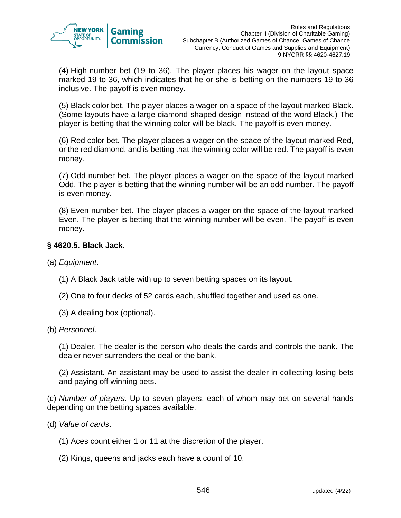

(4) High-number bet (19 to 36). The player places his wager on the layout space marked 19 to 36, which indicates that he or she is betting on the numbers 19 to 36 inclusive. The payoff is even money.

(5) Black color bet. The player places a wager on a space of the layout marked Black. (Some layouts have a large diamond-shaped design instead of the word Black.) The player is betting that the winning color will be black. The payoff is even money.

(6) Red color bet. The player places a wager on the space of the layout marked Red, or the red diamond, and is betting that the winning color will be red. The payoff is even money.

(7) Odd-number bet. The player places a wager on the space of the layout marked Odd. The player is betting that the winning number will be an odd number. The payoff is even money.

(8) Even-number bet. The player places a wager on the space of the layout marked Even. The player is betting that the winning number will be even. The payoff is even money.

## **§ 4620.5. Black Jack.**

- (a) *Equipment*.
	- (1) A Black Jack table with up to seven betting spaces on its layout.
	- (2) One to four decks of 52 cards each, shuffled together and used as one.
	- (3) A dealing box (optional).
- (b) *Personnel*.

(1) Dealer. The dealer is the person who deals the cards and controls the bank. The dealer never surrenders the deal or the bank.

(2) Assistant. An assistant may be used to assist the dealer in collecting losing bets and paying off winning bets.

(c) *Number of players*. Up to seven players, each of whom may bet on several hands depending on the betting spaces available.

- (d) *Value of cards*.
	- (1) Aces count either 1 or 11 at the discretion of the player.
	- (2) Kings, queens and jacks each have a count of 10.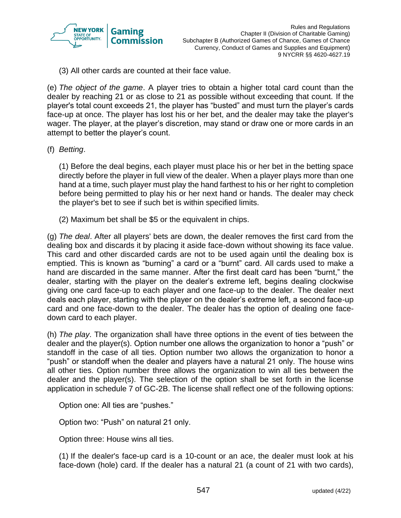

(3) All other cards are counted at their face value.

(e) *The object of the game*. A player tries to obtain a higher total card count than the dealer by reaching 21 or as close to 21 as possible without exceeding that count. If the player's total count exceeds 21, the player has "busted" and must turn the player's cards face-up at once. The player has lost his or her bet, and the dealer may take the player's wager. The player, at the player's discretion, may stand or draw one or more cards in an attempt to better the player's count.

(f) *Betting*.

(1) Before the deal begins, each player must place his or her bet in the betting space directly before the player in full view of the dealer. When a player plays more than one hand at a time, such player must play the hand farthest to his or her right to completion before being permitted to play his or her next hand or hands. The dealer may check the player's bet to see if such bet is within specified limits.

(2) Maximum bet shall be \$5 or the equivalent in chips.

(g) *The deal*. After all players' bets are down, the dealer removes the first card from the dealing box and discards it by placing it aside face-down without showing its face value. This card and other discarded cards are not to be used again until the dealing box is emptied. This is known as "burning" a card or a "burnt" card. All cards used to make a hand are discarded in the same manner. After the first dealt card has been "burnt," the dealer, starting with the player on the dealer's extreme left, begins dealing clockwise giving one card face-up to each player and one face-up to the dealer. The dealer next deals each player, starting with the player on the dealer's extreme left, a second face-up card and one face-down to the dealer. The dealer has the option of dealing one facedown card to each player.

(h) *The play*. The organization shall have three options in the event of ties between the dealer and the player(s). Option number one allows the organization to honor a "push" or standoff in the case of all ties. Option number two allows the organization to honor a "push" or standoff when the dealer and players have a natural 21 only. The house wins all other ties. Option number three allows the organization to win all ties between the dealer and the player(s). The selection of the option shall be set forth in the license application in schedule 7 of GC-2B. The license shall reflect one of the following options:

Option one: All ties are "pushes."

Option two: "Push" on natural 21 only.

Option three: House wins all ties.

(1) If the dealer's face-up card is a 10-count or an ace, the dealer must look at his face-down (hole) card. If the dealer has a natural 21 (a count of 21 with two cards),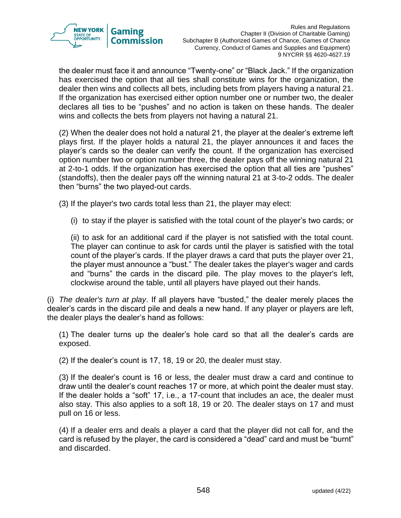

the dealer must face it and announce "Twenty-one" or "Black Jack." If the organization has exercised the option that all ties shall constitute wins for the organization, the dealer then wins and collects all bets, including bets from players having a natural 21. If the organization has exercised either option number one or number two, the dealer declares all ties to be "pushes" and no action is taken on these hands. The dealer wins and collects the bets from players not having a natural 21.

(2) When the dealer does not hold a natural 21, the player at the dealer's extreme left plays first. If the player holds a natural 21, the player announces it and faces the player's cards so the dealer can verify the count. If the organization has exercised option number two or option number three, the dealer pays off the winning natural 21 at 2-to-1 odds. If the organization has exercised the option that all ties are "pushes" (standoffs), then the dealer pays off the winning natural 21 at 3-to-2 odds. The dealer then "burns" the two played-out cards.

(3) If the player's two cards total less than 21, the player may elect:

(i) to stay if the player is satisfied with the total count of the player's two cards; or

(ii) to ask for an additional card if the player is not satisfied with the total count. The player can continue to ask for cards until the player is satisfied with the total count of the player's cards. If the player draws a card that puts the player over 21, the player must announce a "bust." The dealer takes the player's wager and cards and "burns" the cards in the discard pile. The play moves to the player's left, clockwise around the table, until all players have played out their hands.

(i) *The dealer's turn at play*. If all players have "busted," the dealer merely places the dealer's cards in the discard pile and deals a new hand. If any player or players are left, the dealer plays the dealer's hand as follows:

(1) The dealer turns up the dealer's hole card so that all the dealer's cards are exposed.

(2) If the dealer's count is 17, 18, 19 or 20, the dealer must stay.

(3) If the dealer's count is 16 or less, the dealer must draw a card and continue to draw until the dealer's count reaches 17 or more, at which point the dealer must stay. If the dealer holds a "soft" 17, i.e., a 17-count that includes an ace, the dealer must also stay. This also applies to a soft 18, 19 or 20. The dealer stays on 17 and must pull on 16 or less.

(4) If a dealer errs and deals a player a card that the player did not call for, and the card is refused by the player, the card is considered a "dead" card and must be "burnt" and discarded.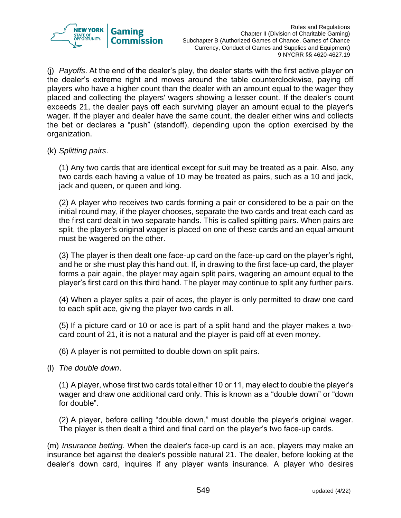

(j) *Payoffs*. At the end of the dealer's play, the dealer starts with the first active player on the dealer's extreme right and moves around the table counterclockwise, paying off players who have a higher count than the dealer with an amount equal to the wager they placed and collecting the players' wagers showing a lesser count. If the dealer's count exceeds 21, the dealer pays off each surviving player an amount equal to the player's wager. If the player and dealer have the same count, the dealer either wins and collects the bet or declares a "push" (standoff), depending upon the option exercised by the organization.

#### (k) *Splitting pairs*.

(1) Any two cards that are identical except for suit may be treated as a pair. Also, any two cards each having a value of 10 may be treated as pairs, such as a 10 and jack, jack and queen, or queen and king.

(2) A player who receives two cards forming a pair or considered to be a pair on the initial round may, if the player chooses, separate the two cards and treat each card as the first card dealt in two separate hands. This is called splitting pairs. When pairs are split, the player's original wager is placed on one of these cards and an equal amount must be wagered on the other.

(3) The player is then dealt one face-up card on the face-up card on the player's right, and he or she must play this hand out. If, in drawing to the first face-up card, the player forms a pair again, the player may again split pairs, wagering an amount equal to the player's first card on this third hand. The player may continue to split any further pairs.

(4) When a player splits a pair of aces, the player is only permitted to draw one card to each split ace, giving the player two cards in all.

(5) If a picture card or 10 or ace is part of a split hand and the player makes a twocard count of 21, it is not a natural and the player is paid off at even money.

(6) A player is not permitted to double down on split pairs.

(l) *The double down*.

(1) A player, whose first two cards total either 10 or 11, may elect to double the player's wager and draw one additional card only. This is known as a "double down" or "down for double".

(2) A player, before calling "double down," must double the player's original wager. The player is then dealt a third and final card on the player's two face-up cards.

(m) *Insurance betting*. When the dealer's face-up card is an ace, players may make an insurance bet against the dealer's possible natural 21. The dealer, before looking at the dealer's down card, inquires if any player wants insurance. A player who desires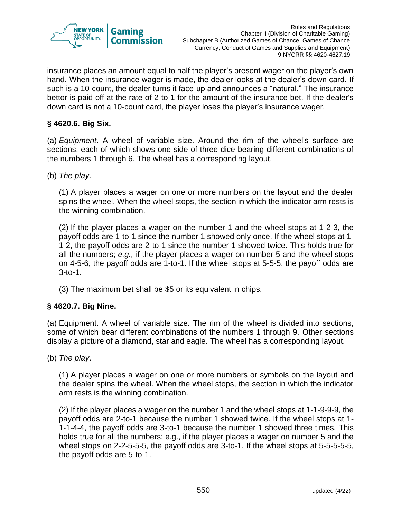

insurance places an amount equal to half the player's present wager on the player's own hand. When the insurance wager is made, the dealer looks at the dealer's down card. If such is a 10-count, the dealer turns it face-up and announces a "natural." The insurance bettor is paid off at the rate of 2-to-1 for the amount of the insurance bet. If the dealer's down card is not a 10-count card, the player loses the player's insurance wager.

## **§ 4620.6. Big Six.**

(a) *Equipment*. A wheel of variable size. Around the rim of the wheel's surface are sections, each of which shows one side of three dice bearing different combinations of the numbers 1 through 6. The wheel has a corresponding layout.

(b) *The play*.

(1) A player places a wager on one or more numbers on the layout and the dealer spins the wheel. When the wheel stops, the section in which the indicator arm rests is the winning combination.

(2) If the player places a wager on the number 1 and the wheel stops at 1-2-3, the payoff odds are 1-to-1 since the number 1 showed only once. If the wheel stops at 1- 1-2, the payoff odds are 2-to-1 since the number 1 showed twice. This holds true for all the numbers; *e.g.,* if the player places a wager on number 5 and the wheel stops on 4-5-6, the payoff odds are 1-to-1. If the wheel stops at 5-5-5, the payoff odds are 3-to-1.

(3) The maximum bet shall be \$5 or its equivalent in chips.

## **§ 4620.7. Big Nine.**

(a) Equipment. A wheel of variable size. The rim of the wheel is divided into sections, some of which bear different combinations of the numbers 1 through 9. Other sections display a picture of a diamond, star and eagle. The wheel has a corresponding layout.

(b) *The play*.

(1) A player places a wager on one or more numbers or symbols on the layout and the dealer spins the wheel. When the wheel stops, the section in which the indicator arm rests is the winning combination.

(2) If the player places a wager on the number 1 and the wheel stops at 1-1-9-9-9, the payoff odds are 2-to-1 because the number 1 showed twice. If the wheel stops at 1- 1-1-4-4, the payoff odds are 3-to-1 because the number 1 showed three times. This holds true for all the numbers; e.g., if the player places a wager on number 5 and the wheel stops on 2-2-5-5-5, the payoff odds are 3-to-1. If the wheel stops at 5-5-5-5-5, the payoff odds are 5-to-1.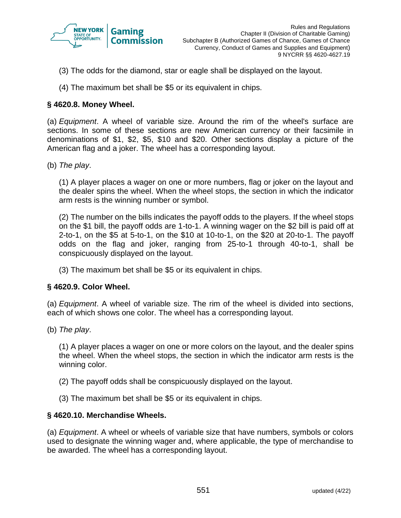

- (3) The odds for the diamond, star or eagle shall be displayed on the layout.
- (4) The maximum bet shall be \$5 or its equivalent in chips.

#### **§ 4620.8. Money Wheel.**

(a) *Equipment*. A wheel of variable size. Around the rim of the wheel's surface are sections. In some of these sections are new American currency or their facsimile in denominations of \$1, \$2, \$5, \$10 and \$20. Other sections display a picture of the American flag and a joker. The wheel has a corresponding layout.

(b) *The play*.

(1) A player places a wager on one or more numbers, flag or joker on the layout and the dealer spins the wheel. When the wheel stops, the section in which the indicator arm rests is the winning number or symbol.

(2) The number on the bills indicates the payoff odds to the players. If the wheel stops on the \$1 bill, the payoff odds are 1-to-1. A winning wager on the \$2 bill is paid off at 2-to-1, on the \$5 at 5-to-1, on the \$10 at 10-to-1, on the \$20 at 20-to-1. The payoff odds on the flag and joker, ranging from 25-to-1 through 40-to-1, shall be conspicuously displayed on the layout.

(3) The maximum bet shall be \$5 or its equivalent in chips.

#### **§ 4620.9. Color Wheel.**

(a) *Equipment*. A wheel of variable size. The rim of the wheel is divided into sections, each of which shows one color. The wheel has a corresponding layout.

(b) *The play*.

(1) A player places a wager on one or more colors on the layout, and the dealer spins the wheel. When the wheel stops, the section in which the indicator arm rests is the winning color.

- (2) The payoff odds shall be conspicuously displayed on the layout.
- (3) The maximum bet shall be \$5 or its equivalent in chips.

#### **§ 4620.10. Merchandise Wheels.**

(a) *Equipment*. A wheel or wheels of variable size that have numbers, symbols or colors used to designate the winning wager and, where applicable, the type of merchandise to be awarded. The wheel has a corresponding layout.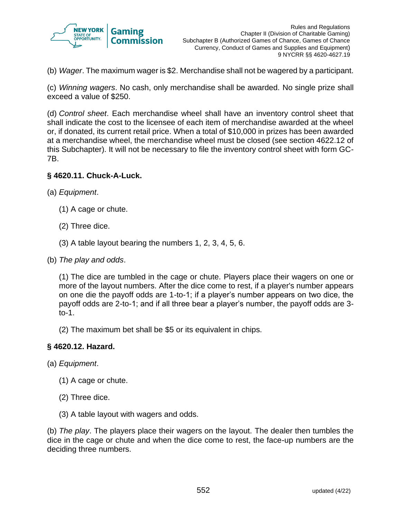

(b) *Wager*. The maximum wager is \$2. Merchandise shall not be wagered by a participant.

(c) *Winning wagers*. No cash, only merchandise shall be awarded. No single prize shall exceed a value of \$250.

(d) *Control sheet*. Each merchandise wheel shall have an inventory control sheet that shall indicate the cost to the licensee of each item of merchandise awarded at the wheel or, if donated, its current retail price. When a total of \$10,000 in prizes has been awarded at a merchandise wheel, the merchandise wheel must be closed (see section 4622.12 of this Subchapter). It will not be necessary to file the inventory control sheet with form GC-7B.

#### **§ 4620.11. Chuck-A-Luck.**

- (a) *Equipment*.
	- (1) A cage or chute.
	- (2) Three dice.
	- (3) A table layout bearing the numbers 1, 2, 3, 4, 5, 6.
- (b) *The play and odds*.

(1) The dice are tumbled in the cage or chute. Players place their wagers on one or more of the layout numbers. After the dice come to rest, if a player's number appears on one die the payoff odds are 1-to-1; if a player's number appears on two dice, the payoff odds are 2-to-1; and if all three bear a player's number, the payoff odds are 3 to-1.

(2) The maximum bet shall be \$5 or its equivalent in chips.

#### **§ 4620.12. Hazard.**

- (a) *Equipment*.
	- (1) A cage or chute.
	- (2) Three dice.
	- (3) A table layout with wagers and odds.

(b) *The play*. The players place their wagers on the layout. The dealer then tumbles the dice in the cage or chute and when the dice come to rest, the face-up numbers are the deciding three numbers.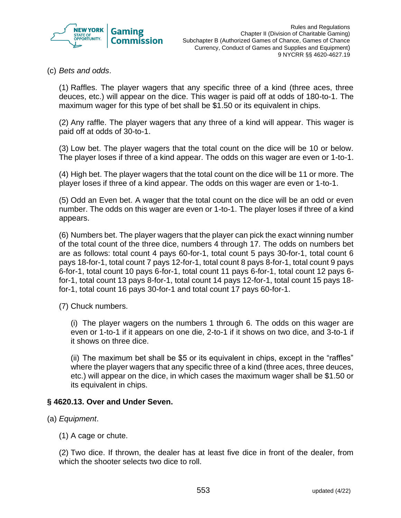

(c) *Bets and odds*.

(1) Raffles. The player wagers that any specific three of a kind (three aces, three deuces, etc.) will appear on the dice. This wager is paid off at odds of 180-to-1. The maximum wager for this type of bet shall be \$1.50 or its equivalent in chips.

(2) Any raffle. The player wagers that any three of a kind will appear. This wager is paid off at odds of 30-to-1.

(3) Low bet. The player wagers that the total count on the dice will be 10 or below. The player loses if three of a kind appear. The odds on this wager are even or 1-to-1.

(4) High bet. The player wagers that the total count on the dice will be 11 or more. The player loses if three of a kind appear. The odds on this wager are even or 1-to-1.

(5) Odd an Even bet. A wager that the total count on the dice will be an odd or even number. The odds on this wager are even or 1-to-1. The player loses if three of a kind appears.

(6) Numbers bet. The player wagers that the player can pick the exact winning number of the total count of the three dice, numbers 4 through 17. The odds on numbers bet are as follows: total count 4 pays 60-for-1, total count 5 pays 30-for-1, total count 6 pays 18-for-1, total count 7 pays 12-for-1, total count 8 pays 8-for-1, total count 9 pays 6-for-1, total count 10 pays 6-for-1, total count 11 pays 6-for-1, total count 12 pays 6 for-1, total count 13 pays 8-for-1, total count 14 pays 12-for-1, total count 15 pays 18 for-1, total count 16 pays 30-for-1 and total count 17 pays 60-for-1.

(7) Chuck numbers.

(i) The player wagers on the numbers 1 through 6. The odds on this wager are even or 1-to-1 if it appears on one die, 2-to-1 if it shows on two dice, and 3-to-1 if it shows on three dice.

(ii) The maximum bet shall be \$5 or its equivalent in chips, except in the "raffles" where the player wagers that any specific three of a kind (three aces, three deuces, etc.) will appear on the dice, in which cases the maximum wager shall be \$1.50 or its equivalent in chips.

#### **§ 4620.13. Over and Under Seven.**

- (a) *Equipment*.
	- (1) A cage or chute.

(2) Two dice. If thrown, the dealer has at least five dice in front of the dealer, from which the shooter selects two dice to roll.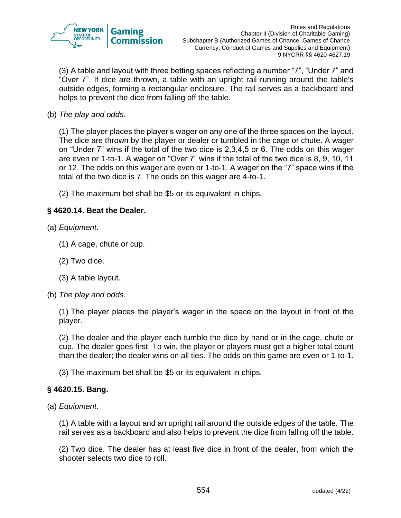

(3) A table and layout with three betting spaces reflecting a number "7", "Under 7" and "Over 7". If dice are thrown, a table with an upright rail running around the table's outside edges, forming a rectangular enclosure. The rail serves as a backboard and helps to prevent the dice from falling off the table.

(b) *The play and odds*.

(1) The player places the player's wager on any one of the three spaces on the layout. The dice are thrown by the player or dealer or tumbled in the cage or chute. A wager on "Under 7" wins if the total of the two dice is 2,3,4,5 or 6. The odds on this wager are even or 1-to-1. A wager on "Over 7" wins if the total of the two dice is 8, 9, 10, 11 or 12. The odds on this wager are even or 1-to-1. A wager on the "7" space wins if the total of the two dice is 7. The odds on this wager are 4-to-1.

(2) The maximum bet shall be \$5 or its equivalent in chips.

## **§ 4620.14. Beat the Dealer.**

- (a) *Equipment*.
	- (1) A cage, chute or cup.
	- (2) Two dice.
	- (3) A table layout.
- (b) *The play and odds*.

(1) The player places the player's wager in the space on the layout in front of the player.

(2) The dealer and the player each tumble the dice by hand or in the cage, chute or cup. The dealer goes first. To win, the player or players must get a higher total count than the dealer; the dealer wins on all ties. The odds on this game are even or 1-to-1.

(3) The maximum bet shall be \$5 or its equivalent in chips.

## **§ 4620.15. Bang.**

(a) *Equipment*.

(1) A table with a layout and an upright rail around the outside edges of the table. The rail serves as a backboard and also helps to prevent the dice from falling off the table.

(2) Two dice. The dealer has at least five dice in front of the dealer, from which the shooter selects two dice to roll.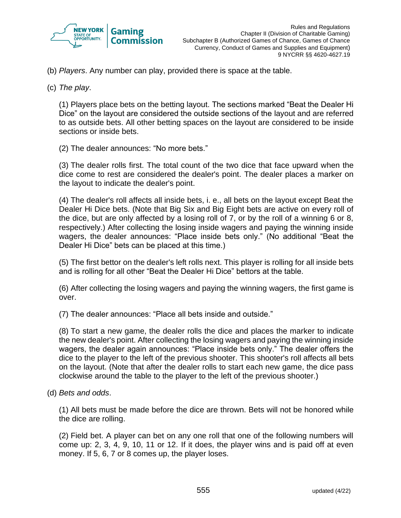

(b) *Players*. Any number can play, provided there is space at the table.

(c) *The play*.

(1) Players place bets on the betting layout. The sections marked "Beat the Dealer Hi Dice" on the layout are considered the outside sections of the layout and are referred to as outside bets. All other betting spaces on the layout are considered to be inside sections or inside bets.

(2) The dealer announces: "No more bets."

(3) The dealer rolls first. The total count of the two dice that face upward when the dice come to rest are considered the dealer's point. The dealer places a marker on the layout to indicate the dealer's point.

(4) The dealer's roll affects all inside bets, i. e., all bets on the layout except Beat the Dealer Hi Dice bets. (Note that Big Six and Big Eight bets are active on every roll of the dice, but are only affected by a losing roll of 7, or by the roll of a winning 6 or 8, respectively.) After collecting the losing inside wagers and paying the winning inside wagers, the dealer announces: "Place inside bets only." (No additional "Beat the Dealer Hi Dice" bets can be placed at this time.)

(5) The first bettor on the dealer's left rolls next. This player is rolling for all inside bets and is rolling for all other "Beat the Dealer Hi Dice" bettors at the table.

(6) After collecting the losing wagers and paying the winning wagers, the first game is over.

(7) The dealer announces: "Place all bets inside and outside."

(8) To start a new game, the dealer rolls the dice and places the marker to indicate the new dealer's point. After collecting the losing wagers and paying the winning inside wagers, the dealer again announces: "Place inside bets only." The dealer offers the dice to the player to the left of the previous shooter. This shooter's roll affects all bets on the layout. (Note that after the dealer rolls to start each new game, the dice pass clockwise around the table to the player to the left of the previous shooter.)

(d) *Bets and odds*.

(1) All bets must be made before the dice are thrown. Bets will not be honored while the dice are rolling.

(2) Field bet. A player can bet on any one roll that one of the following numbers will come up: 2, 3, 4, 9, 10, 11 or 12. If it does, the player wins and is paid off at even money. If 5, 6, 7 or 8 comes up, the player loses.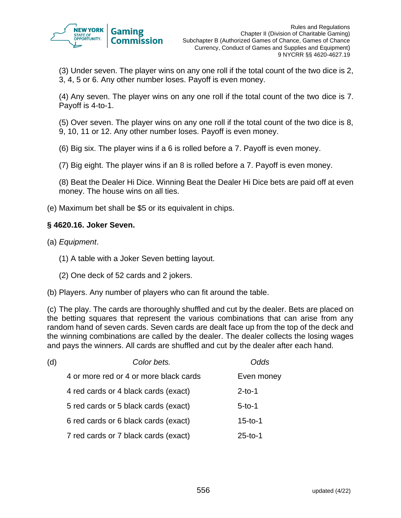

(3) Under seven. The player wins on any one roll if the total count of the two dice is 2, 3, 4, 5 or 6. Any other number loses. Payoff is even money.

(4) Any seven. The player wins on any one roll if the total count of the two dice is 7. Payoff is 4-to-1.

(5) Over seven. The player wins on any one roll if the total count of the two dice is 8, 9, 10, 11 or 12. Any other number loses. Payoff is even money.

(6) Big six. The player wins if a 6 is rolled before a 7. Payoff is even money.

(7) Big eight. The player wins if an 8 is rolled before a 7. Payoff is even money.

(8) Beat the Dealer Hi Dice. Winning Beat the Dealer Hi Dice bets are paid off at even money. The house wins on all ties.

(e) Maximum bet shall be \$5 or its equivalent in chips.

## **§ 4620.16. Joker Seven.**

- (a) *Equipment*.
	- (1) A table with a Joker Seven betting layout.
	- (2) One deck of 52 cards and 2 jokers.
- (b) Players. Any number of players who can fit around the table.

(c) The play. The cards are thoroughly shuffled and cut by the dealer. Bets are placed on the betting squares that represent the various combinations that can arise from any random hand of seven cards. Seven cards are dealt face up from the top of the deck and the winning combinations are called by the dealer. The dealer collects the losing wages and pays the winners. All cards are shuffled and cut by the dealer after each hand.

| (d) | Color bets.                            | <i><b>Odds</b></i> |
|-----|----------------------------------------|--------------------|
|     | 4 or more red or 4 or more black cards | Even money         |
|     | 4 red cards or 4 black cards (exact)   | $2$ -to-1          |
|     | 5 red cards or 5 black cards (exact)   | $5 - 10 - 1$       |
|     | 6 red cards or 6 black cards (exact)   | $15 - 10 - 1$      |
|     | 7 red cards or 7 black cards (exact)   | $25 - 10 - 1$      |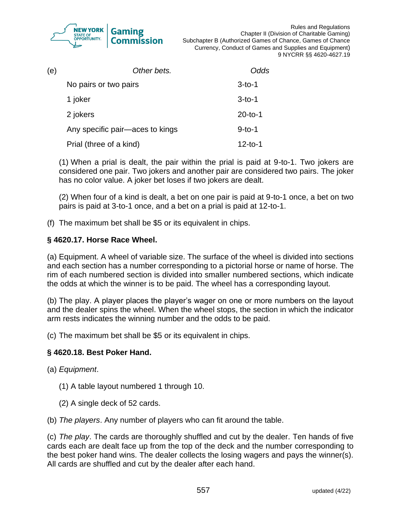

Rules and Regulations Chapter II (Division of Charitable Gaming) Subchapter B (Authorized Games of Chance, Games of Chance Currency, Conduct of Games and Supplies and Equipment) 9 NYCRR §§ 4620-4627.19

| (e) | Other bets.                     | Odds         |
|-----|---------------------------------|--------------|
|     | No pairs or two pairs           | $3 - 10 - 1$ |
|     | 1 joker                         | $3-to-1$     |
|     | 2 jokers                        | $20-to-1$    |
|     | Any specific pair-aces to kings | $9-to-1$     |
|     | Prial (three of a kind)         | $12-to-1$    |

(1) When a prial is dealt, the pair within the prial is paid at 9-to-1. Two jokers are considered one pair. Two jokers and another pair are considered two pairs. The joker has no color value. A joker bet loses if two jokers are dealt.

(2) When four of a kind is dealt, a bet on one pair is paid at 9-to-1 once, a bet on two pairs is paid at 3-to-1 once, and a bet on a prial is paid at 12-to-1.

(f) The maximum bet shall be \$5 or its equivalent in chips.

## **§ 4620.17. Horse Race Wheel.**

(a) Equipment. A wheel of variable size. The surface of the wheel is divided into sections and each section has a number corresponding to a pictorial horse or name of horse. The rim of each numbered section is divided into smaller numbered sections, which indicate the odds at which the winner is to be paid. The wheel has a corresponding layout.

(b) The play. A player places the player's wager on one or more numbers on the layout and the dealer spins the wheel. When the wheel stops, the section in which the indicator arm rests indicates the winning number and the odds to be paid.

(c) The maximum bet shall be \$5 or its equivalent in chips.

## **§ 4620.18. Best Poker Hand.**

(a) *Equipment*.

- (1) A table layout numbered 1 through 10.
- (2) A single deck of 52 cards.

(b) *The players*. Any number of players who can fit around the table.

(c) *The play*. The cards are thoroughly shuffled and cut by the dealer. Ten hands of five cards each are dealt face up from the top of the deck and the number corresponding to the best poker hand wins. The dealer collects the losing wagers and pays the winner(s). All cards are shuffled and cut by the dealer after each hand.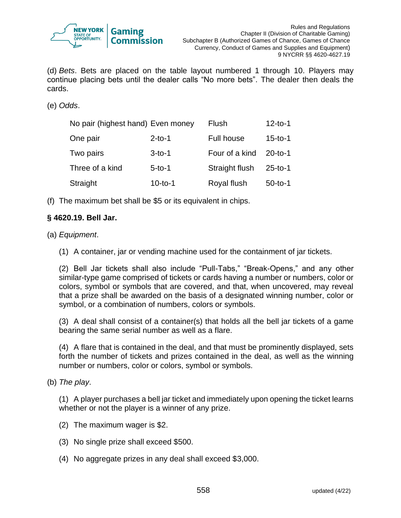

(d) *Bets*. Bets are placed on the table layout numbered 1 through 10. Players may continue placing bets until the dealer calls "No more bets". The dealer then deals the cards.

(e) *Odds*.

| No pair (highest hand) Even money |           | <b>Flush</b>      | $12-to-1$     |
|-----------------------------------|-----------|-------------------|---------------|
| One pair                          | $2-to-1$  | <b>Full house</b> | $15 - to - 1$ |
| Two pairs                         | $3-to-1$  | Four of a kind    | $20 -10 - 1$  |
| Three of a kind                   | $5-to-1$  | Straight flush    | $25 - to - 1$ |
| Straight                          | $10-to-1$ | Royal flush       | $50-to-1$     |

(f) The maximum bet shall be \$5 or its equivalent in chips.

#### **§ 4620.19. Bell Jar.**

(a) *Equipment*.

(1) A container, jar or vending machine used for the containment of jar tickets.

(2) Bell Jar tickets shall also include "Pull-Tabs," "Break-Opens," and any other similar-type game comprised of tickets or cards having a number or numbers, color or colors, symbol or symbols that are covered, and that, when uncovered, may reveal that a prize shall be awarded on the basis of a designated winning number, color or symbol, or a combination of numbers, colors or symbols.

(3) A deal shall consist of a container(s) that holds all the bell jar tickets of a game bearing the same serial number as well as a flare.

(4) A flare that is contained in the deal, and that must be prominently displayed, sets forth the number of tickets and prizes contained in the deal, as well as the winning number or numbers, color or colors, symbol or symbols.

(b) *The play*.

(1) A player purchases a bell jar ticket and immediately upon opening the ticket learns whether or not the player is a winner of any prize.

- (2) The maximum wager is \$2.
- (3) No single prize shall exceed \$500.
- (4) No aggregate prizes in any deal shall exceed \$3,000.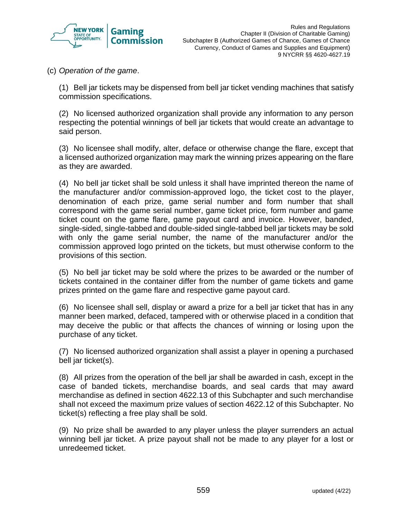

(c) *Operation of the game*.

(1) Bell jar tickets may be dispensed from bell jar ticket vending machines that satisfy commission specifications.

(2) No licensed authorized organization shall provide any information to any person respecting the potential winnings of bell jar tickets that would create an advantage to said person.

(3) No licensee shall modify, alter, deface or otherwise change the flare, except that a licensed authorized organization may mark the winning prizes appearing on the flare as they are awarded.

(4) No bell jar ticket shall be sold unless it shall have imprinted thereon the name of the manufacturer and/or commission-approved logo, the ticket cost to the player, denomination of each prize, game serial number and form number that shall correspond with the game serial number, game ticket price, form number and game ticket count on the game flare, game payout card and invoice. However, banded, single-sided, single-tabbed and double-sided single-tabbed bell jar tickets may be sold with only the game serial number, the name of the manufacturer and/or the commission approved logo printed on the tickets, but must otherwise conform to the provisions of this section.

(5) No bell jar ticket may be sold where the prizes to be awarded or the number of tickets contained in the container differ from the number of game tickets and game prizes printed on the game flare and respective game payout card.

(6) No licensee shall sell, display or award a prize for a bell jar ticket that has in any manner been marked, defaced, tampered with or otherwise placed in a condition that may deceive the public or that affects the chances of winning or losing upon the purchase of any ticket.

(7) No licensed authorized organization shall assist a player in opening a purchased bell jar ticket(s).

(8) All prizes from the operation of the bell jar shall be awarded in cash, except in the case of banded tickets, merchandise boards, and seal cards that may award merchandise as defined in section 4622.13 of this Subchapter and such merchandise shall not exceed the maximum prize values of section 4622.12 of this Subchapter. No ticket(s) reflecting a free play shall be sold.

(9) No prize shall be awarded to any player unless the player surrenders an actual winning bell jar ticket. A prize payout shall not be made to any player for a lost or unredeemed ticket.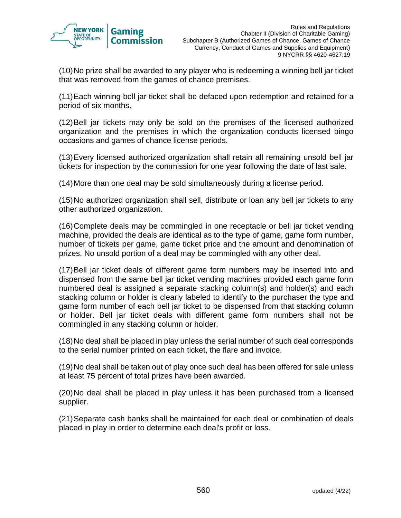

(10)No prize shall be awarded to any player who is redeeming a winning bell jar ticket that was removed from the games of chance premises.

(11)Each winning bell jar ticket shall be defaced upon redemption and retained for a period of six months.

(12)Bell jar tickets may only be sold on the premises of the licensed authorized organization and the premises in which the organization conducts licensed bingo occasions and games of chance license periods.

(13)Every licensed authorized organization shall retain all remaining unsold bell jar tickets for inspection by the commission for one year following the date of last sale.

(14)More than one deal may be sold simultaneously during a license period.

(15)No authorized organization shall sell, distribute or loan any bell jar tickets to any other authorized organization.

(16)Complete deals may be commingled in one receptacle or bell jar ticket vending machine, provided the deals are identical as to the type of game, game form number, number of tickets per game, game ticket price and the amount and denomination of prizes. No unsold portion of a deal may be commingled with any other deal.

(17)Bell jar ticket deals of different game form numbers may be inserted into and dispensed from the same bell jar ticket vending machines provided each game form numbered deal is assigned a separate stacking column(s) and holder(s) and each stacking column or holder is clearly labeled to identify to the purchaser the type and game form number of each bell jar ticket to be dispensed from that stacking column or holder. Bell jar ticket deals with different game form numbers shall not be commingled in any stacking column or holder.

(18)No deal shall be placed in play unless the serial number of such deal corresponds to the serial number printed on each ticket, the flare and invoice.

(19)No deal shall be taken out of play once such deal has been offered for sale unless at least 75 percent of total prizes have been awarded.

(20)No deal shall be placed in play unless it has been purchased from a licensed supplier.

(21)Separate cash banks shall be maintained for each deal or combination of deals placed in play in order to determine each deal's profit or loss.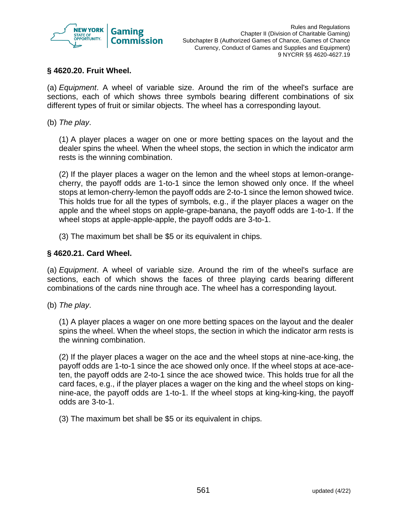

## **§ 4620.20. Fruit Wheel.**

(a) *Equipment*. A wheel of variable size. Around the rim of the wheel's surface are sections, each of which shows three symbols bearing different combinations of six different types of fruit or similar objects. The wheel has a corresponding layout.

(b) *The play*.

(1) A player places a wager on one or more betting spaces on the layout and the dealer spins the wheel. When the wheel stops, the section in which the indicator arm rests is the winning combination.

(2) If the player places a wager on the lemon and the wheel stops at lemon-orangecherry, the payoff odds are 1-to-1 since the lemon showed only once. If the wheel stops at lemon-cherry-lemon the payoff odds are 2-to-1 since the lemon showed twice. This holds true for all the types of symbols, e.g., if the player places a wager on the apple and the wheel stops on apple-grape-banana, the payoff odds are 1-to-1. If the wheel stops at apple-apple-apple, the payoff odds are 3-to-1.

(3) The maximum bet shall be \$5 or its equivalent in chips.

#### **§ 4620.21. Card Wheel.**

(a) *Equipment*. A wheel of variable size. Around the rim of the wheel's surface are sections, each of which shows the faces of three playing cards bearing different combinations of the cards nine through ace. The wheel has a corresponding layout.

(b) *The play*.

(1) A player places a wager on one more betting spaces on the layout and the dealer spins the wheel. When the wheel stops, the section in which the indicator arm rests is the winning combination.

(2) If the player places a wager on the ace and the wheel stops at nine-ace-king, the payoff odds are 1-to-1 since the ace showed only once. If the wheel stops at ace-aceten, the payoff odds are 2-to-1 since the ace showed twice. This holds true for all the card faces, e.g., if the player places a wager on the king and the wheel stops on kingnine-ace, the payoff odds are 1-to-1. If the wheel stops at king-king-king, the payoff odds are 3-to-1.

(3) The maximum bet shall be \$5 or its equivalent in chips.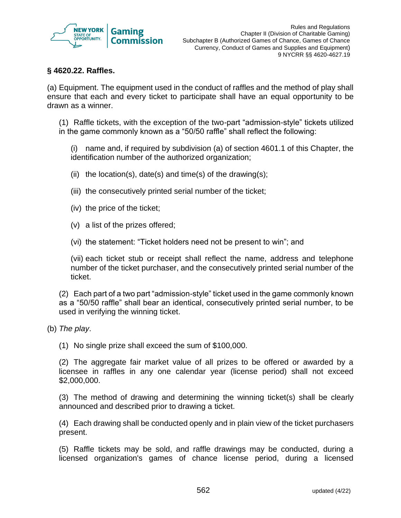

## **§ 4620.22. Raffles.**

(a) Equipment. The equipment used in the conduct of raffles and the method of play shall ensure that each and every ticket to participate shall have an equal opportunity to be drawn as a winner.

(1) Raffle tickets, with the exception of the two-part "admission-style" tickets utilized in the game commonly known as a "50/50 raffle" shall reflect the following:

(i) name and, if required by subdivision (a) of section 4601.1 of this Chapter, the identification number of the authorized organization;

- (ii) the location(s), date(s) and time(s) of the drawing(s);
- (iii) the consecutively printed serial number of the ticket;
- (iv) the price of the ticket;
- (v) a list of the prizes offered;
- (vi) the statement: "Ticket holders need not be present to win"; and

(vii) each ticket stub or receipt shall reflect the name, address and telephone number of the ticket purchaser, and the consecutively printed serial number of the ticket.

(2) Each part of a two part "admission-style" ticket used in the game commonly known as a "50/50 raffle" shall bear an identical, consecutively printed serial number, to be used in verifying the winning ticket.

- (b) *The play*.
	- (1) No single prize shall exceed the sum of \$100,000.

(2) The aggregate fair market value of all prizes to be offered or awarded by a licensee in raffles in any one calendar year (license period) shall not exceed \$2,000,000.

(3) The method of drawing and determining the winning ticket(s) shall be clearly announced and described prior to drawing a ticket.

(4) Each drawing shall be conducted openly and in plain view of the ticket purchasers present.

(5) Raffle tickets may be sold, and raffle drawings may be conducted, during a licensed organization's games of chance license period, during a licensed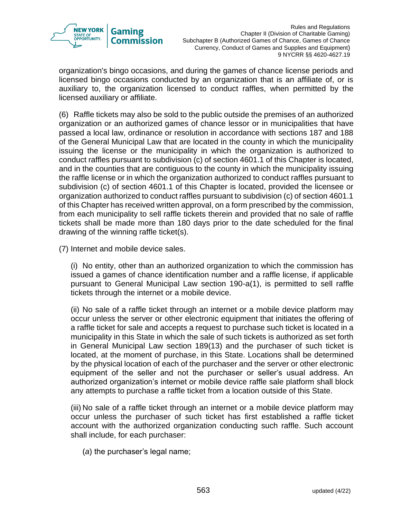

organization's bingo occasions, and during the games of chance license periods and licensed bingo occasions conducted by an organization that is an affiliate of, or is auxiliary to, the organization licensed to conduct raffles, when permitted by the licensed auxiliary or affiliate.

(6) Raffle tickets may also be sold to the public outside the premises of an authorized organization or an authorized games of chance lessor or in municipalities that have passed a local law, ordinance or resolution in accordance with sections 187 and 188 of the General Municipal Law that are located in the county in which the municipality issuing the license or the municipality in which the organization is authorized to conduct raffles pursuant to subdivision (c) of section 4601.1 of this Chapter is located, and in the counties that are contiguous to the county in which the municipality issuing the raffle license or in which the organization authorized to conduct raffles pursuant to subdivision (c) of section 4601.1 of this Chapter is located, provided the licensee or organization authorized to conduct raffles pursuant to subdivision (c) of section 4601.1 of this Chapter has received written approval, on a form prescribed by the commission, from each municipality to sell raffle tickets therein and provided that no sale of raffle tickets shall be made more than 180 days prior to the date scheduled for the final drawing of the winning raffle ticket(s).

(7) Internet and mobile device sales.

(i) No entity, other than an authorized organization to which the commission has issued a games of chance identification number and a raffle license, if applicable pursuant to General Municipal Law section 190-a(1), is permitted to sell raffle tickets through the internet or a mobile device.

(ii) No sale of a raffle ticket through an internet or a mobile device platform may occur unless the server or other electronic equipment that initiates the offering of a raffle ticket for sale and accepts a request to purchase such ticket is located in a municipality in this State in which the sale of such tickets is authorized as set forth in General Municipal Law section 189(13) and the purchaser of such ticket is located, at the moment of purchase, in this State. Locations shall be determined by the physical location of each of the purchaser and the server or other electronic equipment of the seller and not the purchaser or seller's usual address. An authorized organization's internet or mobile device raffle sale platform shall block any attempts to purchase a raffle ticket from a location outside of this State.

(iii) No sale of a raffle ticket through an internet or a mobile device platform may occur unless the purchaser of such ticket has first established a raffle ticket account with the authorized organization conducting such raffle. Such account shall include, for each purchaser:

(*a*) the purchaser's legal name;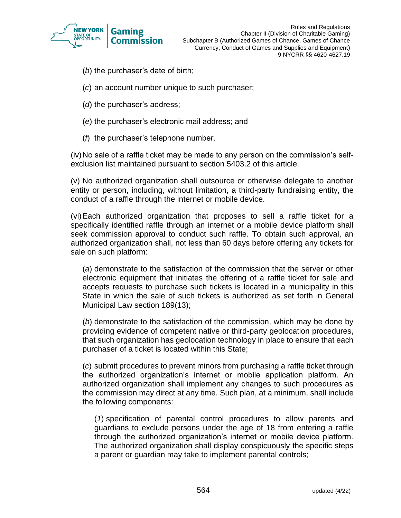

- (*b*) the purchaser's date of birth;
- (*c*) an account number unique to such purchaser;
- (*d*) the purchaser's address;
- (*e*) the purchaser's electronic mail address; and
- (*f*) the purchaser's telephone number.

(iv)No sale of a raffle ticket may be made to any person on the commission's selfexclusion list maintained pursuant to section 5403.2 of this article.

(v) No authorized organization shall outsource or otherwise delegate to another entity or person, including, without limitation, a third-party fundraising entity, the conduct of a raffle through the internet or mobile device.

(vi)Each authorized organization that proposes to sell a raffle ticket for a specifically identified raffle through an internet or a mobile device platform shall seek commission approval to conduct such raffle. To obtain such approval, an authorized organization shall, not less than 60 days before offering any tickets for sale on such platform:

(*a*) demonstrate to the satisfaction of the commission that the server or other electronic equipment that initiates the offering of a raffle ticket for sale and accepts requests to purchase such tickets is located in a municipality in this State in which the sale of such tickets is authorized as set forth in General Municipal Law section 189(13);

(*b*) demonstrate to the satisfaction of the commission, which may be done by providing evidence of competent native or third-party geolocation procedures, that such organization has geolocation technology in place to ensure that each purchaser of a ticket is located within this State;

(*c*) submit procedures to prevent minors from purchasing a raffle ticket through the authorized organization's internet or mobile application platform. An authorized organization shall implement any changes to such procedures as the commission may direct at any time. Such plan, at a minimum, shall include the following components:

(*1*) specification of parental control procedures to allow parents and guardians to exclude persons under the age of 18 from entering a raffle through the authorized organization's internet or mobile device platform. The authorized organization shall display conspicuously the specific steps a parent or guardian may take to implement parental controls;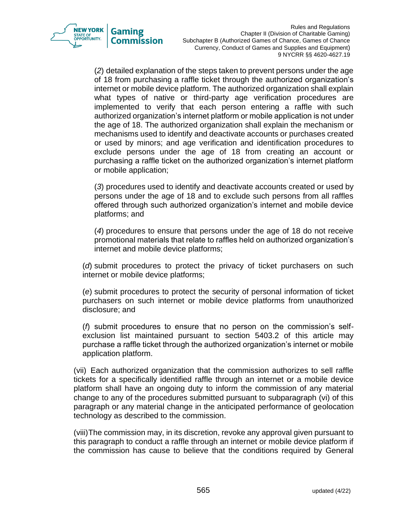

(*2*) detailed explanation of the steps taken to prevent persons under the age of 18 from purchasing a raffle ticket through the authorized organization's internet or mobile device platform. The authorized organization shall explain what types of native or third-party age verification procedures are implemented to verify that each person entering a raffle with such authorized organization's internet platform or mobile application is not under the age of 18. The authorized organization shall explain the mechanism or mechanisms used to identify and deactivate accounts or purchases created or used by minors; and age verification and identification procedures to exclude persons under the age of 18 from creating an account or purchasing a raffle ticket on the authorized organization's internet platform or mobile application;

(*3*) procedures used to identify and deactivate accounts created or used by persons under the age of 18 and to exclude such persons from all raffles offered through such authorized organization's internet and mobile device platforms; and

(*4*) procedures to ensure that persons under the age of 18 do not receive promotional materials that relate to raffles held on authorized organization's internet and mobile device platforms;

(*d*) submit procedures to protect the privacy of ticket purchasers on such internet or mobile device platforms;

(*e*) submit procedures to protect the security of personal information of ticket purchasers on such internet or mobile device platforms from unauthorized disclosure; and

(*f*) submit procedures to ensure that no person on the commission's selfexclusion list maintained pursuant to section 5403.2 of this article may purchase a raffle ticket through the authorized organization's internet or mobile application platform.

(vii) Each authorized organization that the commission authorizes to sell raffle tickets for a specifically identified raffle through an internet or a mobile device platform shall have an ongoing duty to inform the commission of any material change to any of the procedures submitted pursuant to subparagraph (vi) of this paragraph or any material change in the anticipated performance of geolocation technology as described to the commission.

(viii)The commission may, in its discretion, revoke any approval given pursuant to this paragraph to conduct a raffle through an internet or mobile device platform if the commission has cause to believe that the conditions required by General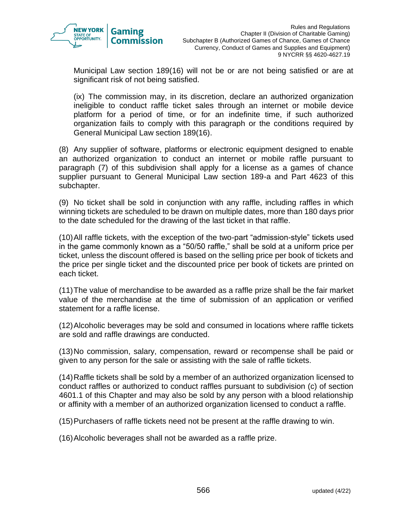

Municipal Law section 189(16) will not be or are not being satisfied or are at significant risk of not being satisfied.

(ix) The commission may, in its discretion, declare an authorized organization ineligible to conduct raffle ticket sales through an internet or mobile device platform for a period of time, or for an indefinite time, if such authorized organization fails to comply with this paragraph or the conditions required by General Municipal Law section 189(16).

(8) Any supplier of software, platforms or electronic equipment designed to enable an authorized organization to conduct an internet or mobile raffle pursuant to paragraph (7) of this subdivision shall apply for a license as a games of chance supplier pursuant to General Municipal Law section 189-a and Part 4623 of this subchapter.

(9) No ticket shall be sold in conjunction with any raffle, including raffles in which winning tickets are scheduled to be drawn on multiple dates, more than 180 days prior to the date scheduled for the drawing of the last ticket in that raffle.

(10)All raffle tickets, with the exception of the two-part "admission-style" tickets used in the game commonly known as a "50/50 raffle," shall be sold at a uniform price per ticket, unless the discount offered is based on the selling price per book of tickets and the price per single ticket and the discounted price per book of tickets are printed on each ticket.

(11)The value of merchandise to be awarded as a raffle prize shall be the fair market value of the merchandise at the time of submission of an application or verified statement for a raffle license.

(12)Alcoholic beverages may be sold and consumed in locations where raffle tickets are sold and raffle drawings are conducted.

(13)No commission, salary, compensation, reward or recompense shall be paid or given to any person for the sale or assisting with the sale of raffle tickets.

(14)Raffle tickets shall be sold by a member of an authorized organization licensed to conduct raffles or authorized to conduct raffles pursuant to subdivision (c) of section 4601.1 of this Chapter and may also be sold by any person with a blood relationship or affinity with a member of an authorized organization licensed to conduct a raffle.

(15)Purchasers of raffle tickets need not be present at the raffle drawing to win.

(16)Alcoholic beverages shall not be awarded as a raffle prize.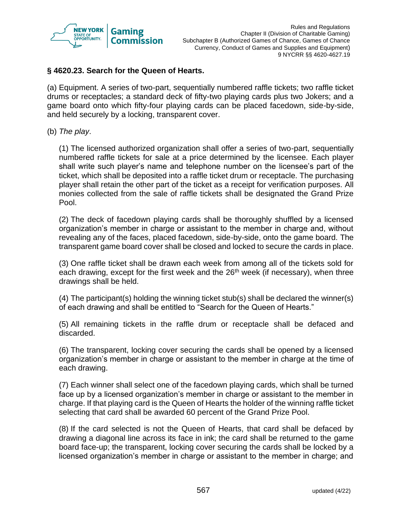

## **§ 4620.23. Search for the Queen of Hearts.**

(a) Equipment. A series of two-part, sequentially numbered raffle tickets; two raffle ticket drums or receptacles; a standard deck of fifty-two playing cards plus two Jokers; and a game board onto which fifty-four playing cards can be placed facedown, side-by-side, and held securely by a locking, transparent cover.

#### (b) *The play*.

(1) The licensed authorized organization shall offer a series of two-part, sequentially numbered raffle tickets for sale at a price determined by the licensee. Each player shall write such player's name and telephone number on the licensee's part of the ticket, which shall be deposited into a raffle ticket drum or receptacle. The purchasing player shall retain the other part of the ticket as a receipt for verification purposes. All monies collected from the sale of raffle tickets shall be designated the Grand Prize Pool.

(2) The deck of facedown playing cards shall be thoroughly shuffled by a licensed organization's member in charge or assistant to the member in charge and, without revealing any of the faces, placed facedown, side-by-side, onto the game board. The transparent game board cover shall be closed and locked to secure the cards in place.

(3) One raffle ticket shall be drawn each week from among all of the tickets sold for each drawing, except for the first week and the  $26<sup>th</sup>$  week (if necessary), when three drawings shall be held.

(4) The participant(s) holding the winning ticket stub(s) shall be declared the winner(s) of each drawing and shall be entitled to "Search for the Queen of Hearts."

(5) All remaining tickets in the raffle drum or receptacle shall be defaced and discarded.

(6) The transparent, locking cover securing the cards shall be opened by a licensed organization's member in charge or assistant to the member in charge at the time of each drawing.

(7) Each winner shall select one of the facedown playing cards, which shall be turned face up by a licensed organization's member in charge or assistant to the member in charge. If that playing card is the Queen of Hearts the holder of the winning raffle ticket selecting that card shall be awarded 60 percent of the Grand Prize Pool.

(8) If the card selected is not the Queen of Hearts, that card shall be defaced by drawing a diagonal line across its face in ink; the card shall be returned to the game board face-up; the transparent, locking cover securing the cards shall be locked by a licensed organization's member in charge or assistant to the member in charge; and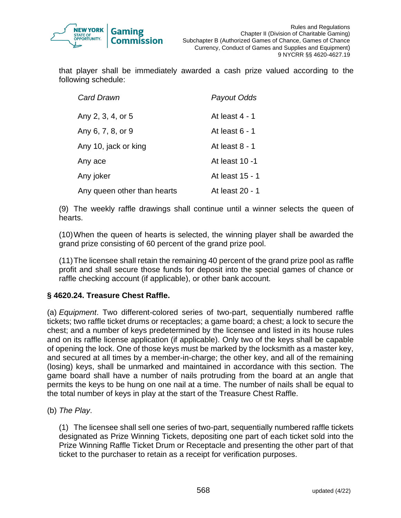

that player shall be immediately awarded a cash prize valued according to the following schedule:

| <b>Card Drawn</b>           | Payout Odds      |
|-----------------------------|------------------|
| Any 2, 3, 4, or 5           | At least 4 - 1   |
| Any 6, 7, 8, or 9           | At least $6 - 1$ |
| Any 10, jack or king        | At least $8 - 1$ |
| Any ace                     | At least 10 -1   |
| Any joker                   | At least 15 - 1  |
| Any queen other than hearts | At least 20 - 1  |

(9) The weekly raffle drawings shall continue until a winner selects the queen of hearts.

(10)When the queen of hearts is selected, the winning player shall be awarded the grand prize consisting of 60 percent of the grand prize pool.

(11)The licensee shall retain the remaining 40 percent of the grand prize pool as raffle profit and shall secure those funds for deposit into the special games of chance or raffle checking account (if applicable), or other bank account.

## **§ 4620.24. Treasure Chest Raffle.**

(a) *Equipment*. Two different-colored series of two-part, sequentially numbered raffle tickets; two raffle ticket drums or receptacles; a game board; a chest; a lock to secure the chest; and a number of keys predetermined by the licensee and listed in its house rules and on its raffle license application (if applicable). Only two of the keys shall be capable of opening the lock. One of those keys must be marked by the locksmith as a master key, and secured at all times by a member-in-charge; the other key, and all of the remaining (losing) keys, shall be unmarked and maintained in accordance with this section. The game board shall have a number of nails protruding from the board at an angle that permits the keys to be hung on one nail at a time. The number of nails shall be equal to the total number of keys in play at the start of the Treasure Chest Raffle.

(b) *The Play*.

(1) The licensee shall sell one series of two-part, sequentially numbered raffle tickets designated as Prize Winning Tickets, depositing one part of each ticket sold into the Prize Winning Raffle Ticket Drum or Receptacle and presenting the other part of that ticket to the purchaser to retain as a receipt for verification purposes.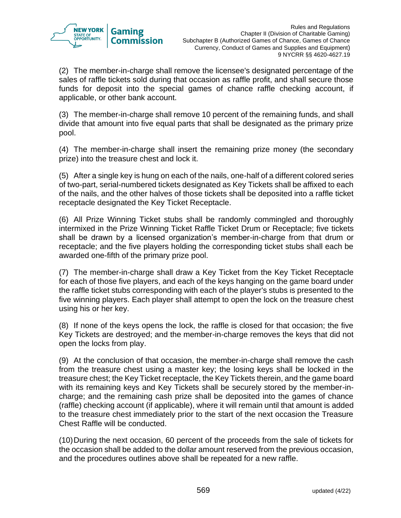

(2) The member-in-charge shall remove the licensee's designated percentage of the sales of raffle tickets sold during that occasion as raffle profit, and shall secure those funds for deposit into the special games of chance raffle checking account, if applicable, or other bank account.

(3) The member-in-charge shall remove 10 percent of the remaining funds, and shall divide that amount into five equal parts that shall be designated as the primary prize pool.

(4) The member-in-charge shall insert the remaining prize money (the secondary prize) into the treasure chest and lock it.

(5) After a single key is hung on each of the nails, one-half of a different colored series of two-part, serial-numbered tickets designated as Key Tickets shall be affixed to each of the nails, and the other halves of those tickets shall be deposited into a raffle ticket receptacle designated the Key Ticket Receptacle.

(6) All Prize Winning Ticket stubs shall be randomly commingled and thoroughly intermixed in the Prize Winning Ticket Raffle Ticket Drum or Receptacle; five tickets shall be drawn by a licensed organization's member-in-charge from that drum or receptacle; and the five players holding the corresponding ticket stubs shall each be awarded one-fifth of the primary prize pool.

(7) The member-in-charge shall draw a Key Ticket from the Key Ticket Receptacle for each of those five players, and each of the keys hanging on the game board under the raffle ticket stubs corresponding with each of the player's stubs is presented to the five winning players. Each player shall attempt to open the lock on the treasure chest using his or her key.

(8) If none of the keys opens the lock, the raffle is closed for that occasion; the five Key Tickets are destroyed; and the member-in-charge removes the keys that did not open the locks from play.

(9) At the conclusion of that occasion, the member-in-charge shall remove the cash from the treasure chest using a master key; the losing keys shall be locked in the treasure chest; the Key Ticket receptacle, the Key Tickets therein, and the game board with its remaining keys and Key Tickets shall be securely stored by the member-incharge; and the remaining cash prize shall be deposited into the games of chance (raffle) checking account (if applicable), where it will remain until that amount is added to the treasure chest immediately prior to the start of the next occasion the Treasure Chest Raffle will be conducted.

(10)During the next occasion, 60 percent of the proceeds from the sale of tickets for the occasion shall be added to the dollar amount reserved from the previous occasion, and the procedures outlines above shall be repeated for a new raffle.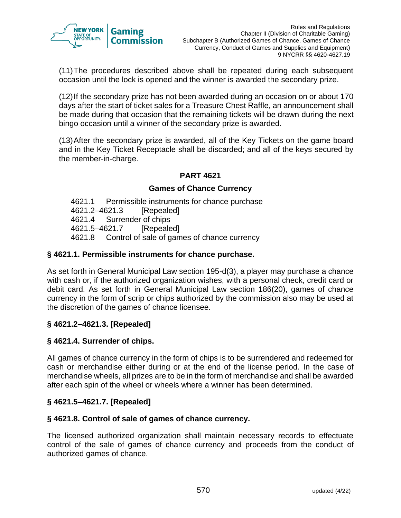

(11)The procedures described above shall be repeated during each subsequent occasion until the lock is opened and the winner is awarded the secondary prize.

(12)If the secondary prize has not been awarded during an occasion on or about 170 days after the start of ticket sales for a Treasure Chest Raffle, an announcement shall be made during that occasion that the remaining tickets will be drawn during the next bingo occasion until a winner of the secondary prize is awarded.

(13)After the secondary prize is awarded, all of the Key Tickets on the game board and in the Key Ticket Receptacle shall be discarded; and all of the keys secured by the member-in-charge.

# **PART 4621**

## **Games of Chance Currency**

4621.1 Permissible instruments for chance purchase 4621.2–4621.3 [Repealed] 4621.4 Surrender of chips 4621.5–4621.7 [Repealed] 4621.8 Control of sale of games of chance currency

#### **§ 4621.1. Permissible instruments for chance purchase.**

As set forth in General Municipal Law section 195-d(3), a player may purchase a chance with cash or, if the authorized organization wishes, with a personal check, credit card or debit card. As set forth in General Municipal Law section 186(20), games of chance currency in the form of scrip or chips authorized by the commission also may be used at the discretion of the games of chance licensee.

## **§ 4621.2–4621.3. [Repealed]**

#### **§ 4621.4. Surrender of chips.**

All games of chance currency in the form of chips is to be surrendered and redeemed for cash or merchandise either during or at the end of the license period. In the case of merchandise wheels, all prizes are to be in the form of merchandise and shall be awarded after each spin of the wheel or wheels where a winner has been determined.

## **§ 4621.5–4621.7. [Repealed]**

## **§ 4621.8. Control of sale of games of chance currency.**

The licensed authorized organization shall maintain necessary records to effectuate control of the sale of games of chance currency and proceeds from the conduct of authorized games of chance.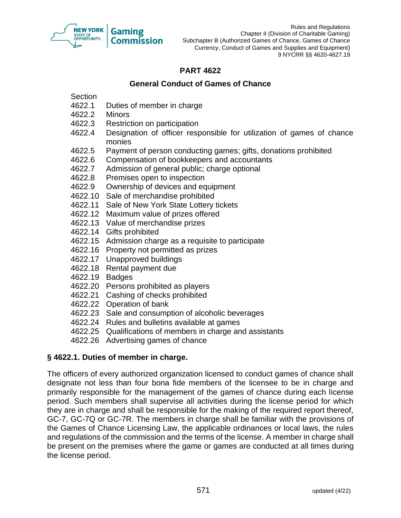

Rules and Regulations Chapter II (Division of Charitable Gaming) Subchapter B (Authorized Games of Chance, Games of Chance Currency, Conduct of Games and Supplies and Equipment) 9 NYCRR §§ 4620-4627.19

# **PART 4622**

## **General Conduct of Games of Chance**

**Section** 

- 4622.1 Duties of member in charge
- 4622.2 Minors
- 4622.3 Restriction on participation
- 4622.4 Designation of officer responsible for utilization of games of chance monies
- 4622.5 Payment of person conducting games; gifts, donations prohibited
- 4622.6 Compensation of bookkeepers and accountants
- 4622.7 Admission of general public; charge optional
- 4622.8 Premises open to inspection
- 4622.9 Ownership of devices and equipment
- 4622.10 Sale of merchandise prohibited
- 4622.11 Sale of New York State Lottery tickets
- 4622.12 Maximum value of prizes offered
- 4622.13 Value of merchandise prizes
- 4622.14 Gifts prohibited
- 4622.15 Admission charge as a requisite to participate
- 4622.16 Property not permitted as prizes
- 4622.17 Unapproved buildings
- 4622.18 Rental payment due
- 4622.19 Badges
- 4622.20 Persons prohibited as players
- 4622.21 Cashing of checks prohibited
- 4622.22 Operation of bank
- 4622.23 Sale and consumption of alcoholic beverages
- 4622.24 Rules and bulletins available at games
- 4622.25 Qualifications of members in charge and assistants
- 4622.26 Advertising games of chance

## **§ 4622.1. Duties of member in charge.**

The officers of every authorized organization licensed to conduct games of chance shall designate not less than four bona fide members of the licensee to be in charge and primarily responsible for the management of the games of chance during each license period. Such members shall supervise all activities during the license period for which they are in charge and shall be responsible for the making of the required report thereof, GC-7, GC-7Q or GC-7R. The members in charge shall be familiar with the provisions of the Games of Chance Licensing Law, the applicable ordinances or local laws, the rules and regulations of the commission and the terms of the license. A member in charge shall be present on the premises where the game or games are conducted at all times during the license period.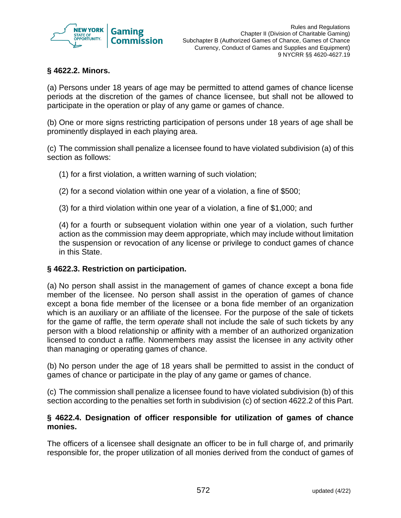

## **§ 4622.2. Minors.**

(a) Persons under 18 years of age may be permitted to attend games of chance license periods at the discretion of the games of chance licensee, but shall not be allowed to participate in the operation or play of any game or games of chance.

(b) One or more signs restricting participation of persons under 18 years of age shall be prominently displayed in each playing area.

(c) The commission shall penalize a licensee found to have violated subdivision (a) of this section as follows:

(1) for a first violation, a written warning of such violation;

(2) for a second violation within one year of a violation, a fine of \$500;

(3) for a third violation within one year of a violation, a fine of \$1,000; and

(4) for a fourth or subsequent violation within one year of a violation, such further action as the commission may deem appropriate, which may include without limitation the suspension or revocation of any license or privilege to conduct games of chance in this State.

## **§ 4622.3. Restriction on participation.**

(a) No person shall assist in the management of games of chance except a bona fide member of the licensee. No person shall assist in the operation of games of chance except a bona fide member of the licensee or a bona fide member of an organization which is an auxiliary or an affiliate of the licensee. For the purpose of the sale of tickets for the game of raffle, the term *operate* shall not include the sale of such tickets by any person with a blood relationship or affinity with a member of an authorized organization licensed to conduct a raffle. Nonmembers may assist the licensee in any activity other than managing or operating games of chance.

(b) No person under the age of 18 years shall be permitted to assist in the conduct of games of chance or participate in the play of any game or games of chance.

(c) The commission shall penalize a licensee found to have violated subdivision (b) of this section according to the penalties set forth in subdivision (c) of section 4622.2 of this Part.

#### **§ 4622.4. Designation of officer responsible for utilization of games of chance monies.**

The officers of a licensee shall designate an officer to be in full charge of, and primarily responsible for, the proper utilization of all monies derived from the conduct of games of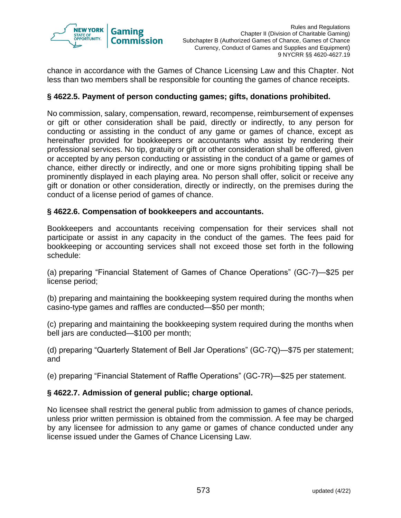

chance in accordance with the Games of Chance Licensing Law and this Chapter. Not less than two members shall be responsible for counting the games of chance receipts.

## **§ 4622.5. Payment of person conducting games; gifts, donations prohibited.**

No commission, salary, compensation, reward, recompense, reimbursement of expenses or gift or other consideration shall be paid, directly or indirectly, to any person for conducting or assisting in the conduct of any game or games of chance, except as hereinafter provided for bookkeepers or accountants who assist by rendering their professional services. No tip, gratuity or gift or other consideration shall be offered, given or accepted by any person conducting or assisting in the conduct of a game or games of chance, either directly or indirectly, and one or more signs prohibiting tipping shall be prominently displayed in each playing area. No person shall offer, solicit or receive any gift or donation or other consideration, directly or indirectly, on the premises during the conduct of a license period of games of chance.

#### **§ 4622.6. Compensation of bookkeepers and accountants.**

Bookkeepers and accountants receiving compensation for their services shall not participate or assist in any capacity in the conduct of the games. The fees paid for bookkeeping or accounting services shall not exceed those set forth in the following schedule:

(a) preparing "Financial Statement of Games of Chance Operations" (GC-7)—\$25 per license period;

(b) preparing and maintaining the bookkeeping system required during the months when casino-type games and raffles are conducted—\$50 per month;

(c) preparing and maintaining the bookkeeping system required during the months when bell jars are conducted—\$100 per month;

(d) preparing "Quarterly Statement of Bell Jar Operations" (GC-7Q)—\$75 per statement; and

(e) preparing "Financial Statement of Raffle Operations" (GC-7R)—\$25 per statement.

## **§ 4622.7. Admission of general public; charge optional.**

No licensee shall restrict the general public from admission to games of chance periods, unless prior written permission is obtained from the commission. A fee may be charged by any licensee for admission to any game or games of chance conducted under any license issued under the Games of Chance Licensing Law.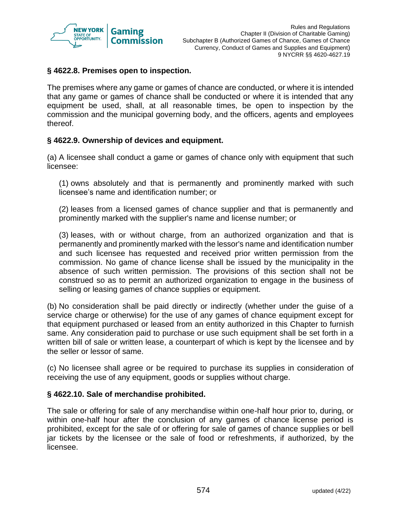

## **§ 4622.8. Premises open to inspection.**

The premises where any game or games of chance are conducted, or where it is intended that any game or games of chance shall be conducted or where it is intended that any equipment be used, shall, at all reasonable times, be open to inspection by the commission and the municipal governing body, and the officers, agents and employees thereof.

#### **§ 4622.9. Ownership of devices and equipment.**

(a) A licensee shall conduct a game or games of chance only with equipment that such licensee:

(1) owns absolutely and that is permanently and prominently marked with such licensee's name and identification number; or

(2) leases from a licensed games of chance supplier and that is permanently and prominently marked with the supplier's name and license number; or

(3) leases, with or without charge, from an authorized organization and that is permanently and prominently marked with the lessor's name and identification number and such licensee has requested and received prior written permission from the commission. No game of chance license shall be issued by the municipality in the absence of such written permission. The provisions of this section shall not be construed so as to permit an authorized organization to engage in the business of selling or leasing games of chance supplies or equipment.

(b) No consideration shall be paid directly or indirectly (whether under the guise of a service charge or otherwise) for the use of any games of chance equipment except for that equipment purchased or leased from an entity authorized in this Chapter to furnish same. Any consideration paid to purchase or use such equipment shall be set forth in a written bill of sale or written lease, a counterpart of which is kept by the licensee and by the seller or lessor of same.

(c) No licensee shall agree or be required to purchase its supplies in consideration of receiving the use of any equipment, goods or supplies without charge.

#### **§ 4622.10. Sale of merchandise prohibited.**

The sale or offering for sale of any merchandise within one-half hour prior to, during, or within one-half hour after the conclusion of any games of chance license period is prohibited, except for the sale of or offering for sale of games of chance supplies or bell jar tickets by the licensee or the sale of food or refreshments, if authorized, by the licensee.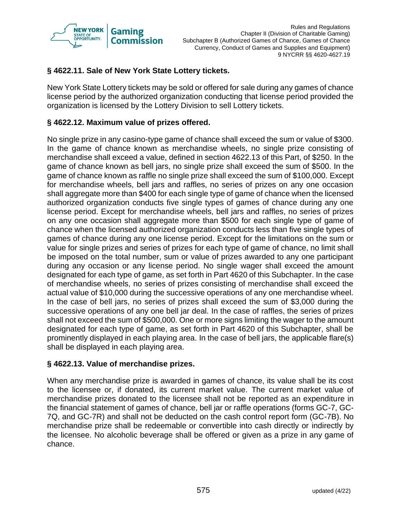

# **§ 4622.11. Sale of New York State Lottery tickets.**

New York State Lottery tickets may be sold or offered for sale during any games of chance license period by the authorized organization conducting that license period provided the organization is licensed by the Lottery Division to sell Lottery tickets.

# **§ 4622.12. Maximum value of prizes offered.**

No single prize in any casino-type game of chance shall exceed the sum or value of \$300. In the game of chance known as merchandise wheels, no single prize consisting of merchandise shall exceed a value, defined in section 4622.13 of this Part, of \$250. In the game of chance known as bell jars, no single prize shall exceed the sum of \$500. In the game of chance known as raffle no single prize shall exceed the sum of \$100,000. Except for merchandise wheels, bell jars and raffles, no series of prizes on any one occasion shall aggregate more than \$400 for each single type of game of chance when the licensed authorized organization conducts five single types of games of chance during any one license period. Except for merchandise wheels, bell jars and raffles, no series of prizes on any one occasion shall aggregate more than \$500 for each single type of game of chance when the licensed authorized organization conducts less than five single types of games of chance during any one license period. Except for the limitations on the sum or value for single prizes and series of prizes for each type of game of chance, no limit shall be imposed on the total number, sum or value of prizes awarded to any one participant during any occasion or any license period. No single wager shall exceed the amount designated for each type of game, as set forth in Part 4620 of this Subchapter. In the case of merchandise wheels, no series of prizes consisting of merchandise shall exceed the actual value of \$10,000 during the successive operations of any one merchandise wheel. In the case of bell jars, no series of prizes shall exceed the sum of \$3,000 during the successive operations of any one bell jar deal. In the case of raffles, the series of prizes shall not exceed the sum of \$500,000. One or more signs limiting the wager to the amount designated for each type of game, as set forth in Part 4620 of this Subchapter, shall be prominently displayed in each playing area. In the case of bell jars, the applicable flare(s) shall be displayed in each playing area.

## **§ 4622.13. Value of merchandise prizes.**

When any merchandise prize is awarded in games of chance, its value shall be its cost to the licensee or, if donated, its current market value. The current market value of merchandise prizes donated to the licensee shall not be reported as an expenditure in the financial statement of games of chance, bell jar or raffle operations (forms GC-7, GC-7Q, and GC-7R) and shall not be deducted on the cash control report form (GC-7B). No merchandise prize shall be redeemable or convertible into cash directly or indirectly by the licensee. No alcoholic beverage shall be offered or given as a prize in any game of chance.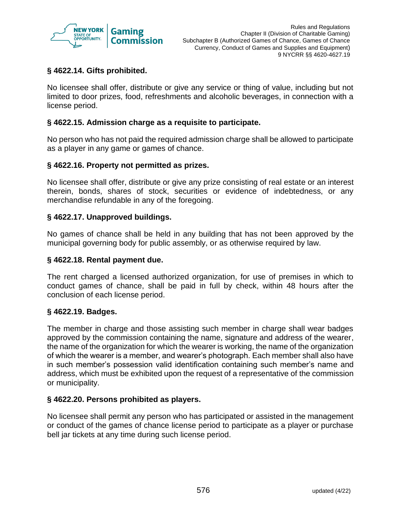

## **§ 4622.14. Gifts prohibited.**

No licensee shall offer, distribute or give any service or thing of value, including but not limited to door prizes, food, refreshments and alcoholic beverages, in connection with a license period.

## **§ 4622.15. Admission charge as a requisite to participate.**

No person who has not paid the required admission charge shall be allowed to participate as a player in any game or games of chance.

## **§ 4622.16. Property not permitted as prizes.**

No licensee shall offer, distribute or give any prize consisting of real estate or an interest therein, bonds, shares of stock, securities or evidence of indebtedness, or any merchandise refundable in any of the foregoing.

#### **§ 4622.17. Unapproved buildings.**

No games of chance shall be held in any building that has not been approved by the municipal governing body for public assembly, or as otherwise required by law.

#### **§ 4622.18. Rental payment due.**

The rent charged a licensed authorized organization, for use of premises in which to conduct games of chance, shall be paid in full by check, within 48 hours after the conclusion of each license period.

## **§ 4622.19. Badges.**

The member in charge and those assisting such member in charge shall wear badges approved by the commission containing the name, signature and address of the wearer, the name of the organization for which the wearer is working, the name of the organization of which the wearer is a member, and wearer's photograph. Each member shall also have in such member's possession valid identification containing such member's name and address, which must be exhibited upon the request of a representative of the commission or municipality.

#### **§ 4622.20. Persons prohibited as players.**

No licensee shall permit any person who has participated or assisted in the management or conduct of the games of chance license period to participate as a player or purchase bell jar tickets at any time during such license period.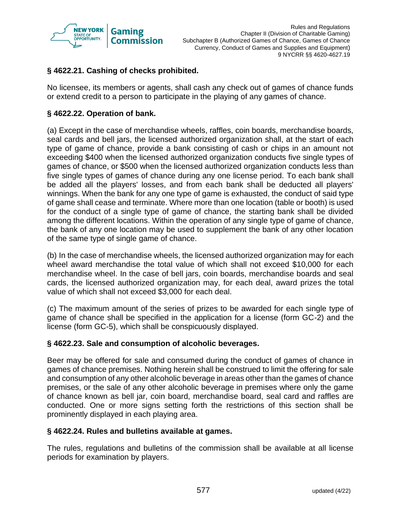

# **§ 4622.21. Cashing of checks prohibited.**

No licensee, its members or agents, shall cash any check out of games of chance funds or extend credit to a person to participate in the playing of any games of chance.

## **§ 4622.22. Operation of bank.**

(a) Except in the case of merchandise wheels, raffles, coin boards, merchandise boards, seal cards and bell jars, the licensed authorized organization shall, at the start of each type of game of chance, provide a bank consisting of cash or chips in an amount not exceeding \$400 when the licensed authorized organization conducts five single types of games of chance, or \$500 when the licensed authorized organization conducts less than five single types of games of chance during any one license period. To each bank shall be added all the players' losses, and from each bank shall be deducted all players' winnings. When the bank for any one type of game is exhausted, the conduct of said type of game shall cease and terminate. Where more than one location (table or booth) is used for the conduct of a single type of game of chance, the starting bank shall be divided among the different locations. Within the operation of any single type of game of chance, the bank of any one location may be used to supplement the bank of any other location of the same type of single game of chance.

(b) In the case of merchandise wheels, the licensed authorized organization may for each wheel award merchandise the total value of which shall not exceed \$10,000 for each merchandise wheel. In the case of bell jars, coin boards, merchandise boards and seal cards, the licensed authorized organization may, for each deal, award prizes the total value of which shall not exceed \$3,000 for each deal.

(c) The maximum amount of the series of prizes to be awarded for each single type of game of chance shall be specified in the application for a license (form GC-2) and the license (form GC-5), which shall be conspicuously displayed.

## **§ 4622.23. Sale and consumption of alcoholic beverages.**

Beer may be offered for sale and consumed during the conduct of games of chance in games of chance premises. Nothing herein shall be construed to limit the offering for sale and consumption of any other alcoholic beverage in areas other than the games of chance premises, or the sale of any other alcoholic beverage in premises where only the game of chance known as bell jar, coin board, merchandise board, seal card and raffles are conducted. One or more signs setting forth the restrictions of this section shall be prominently displayed in each playing area.

## **§ 4622.24. Rules and bulletins available at games.**

The rules, regulations and bulletins of the commission shall be available at all license periods for examination by players.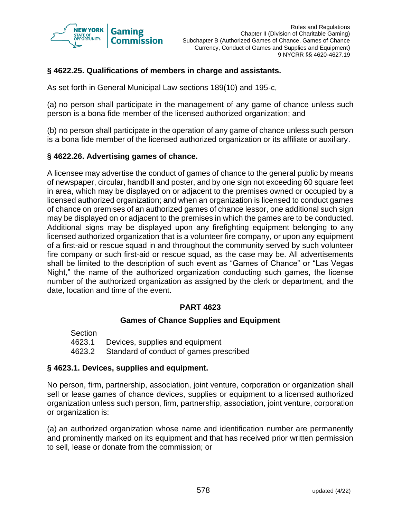

# **§ 4622.25. Qualifications of members in charge and assistants.**

As set forth in General Municipal Law sections 189(10) and 195-c,

(a) no person shall participate in the management of any game of chance unless such person is a bona fide member of the licensed authorized organization; and

(b) no person shall participate in the operation of any game of chance unless such person is a bona fide member of the licensed authorized organization or its affiliate or auxiliary.

## **§ 4622.26. Advertising games of chance.**

A licensee may advertise the conduct of games of chance to the general public by means of newspaper, circular, handbill and poster, and by one sign not exceeding 60 square feet in area, which may be displayed on or adjacent to the premises owned or occupied by a licensed authorized organization; and when an organization is licensed to conduct games of chance on premises of an authorized games of chance lessor, one additional such sign may be displayed on or adjacent to the premises in which the games are to be conducted. Additional signs may be displayed upon any firefighting equipment belonging to any licensed authorized organization that is a volunteer fire company, or upon any equipment of a first-aid or rescue squad in and throughout the community served by such volunteer fire company or such first-aid or rescue squad, as the case may be. All advertisements shall be limited to the description of such event as "Games of Chance" or "Las Vegas Night," the name of the authorized organization conducting such games, the license number of the authorized organization as assigned by the clerk or department, and the date, location and time of the event.

## **PART 4623**

## **Games of Chance Supplies and Equipment**

Section 4623.1 Devices, supplies and equipment 4623.2 Standard of conduct of games prescribed

## **§ 4623.1. Devices, supplies and equipment.**

No person, firm, partnership, association, joint venture, corporation or organization shall sell or lease games of chance devices, supplies or equipment to a licensed authorized organization unless such person, firm, partnership, association, joint venture, corporation or organization is:

(a) an authorized organization whose name and identification number are permanently and prominently marked on its equipment and that has received prior written permission to sell, lease or donate from the commission; or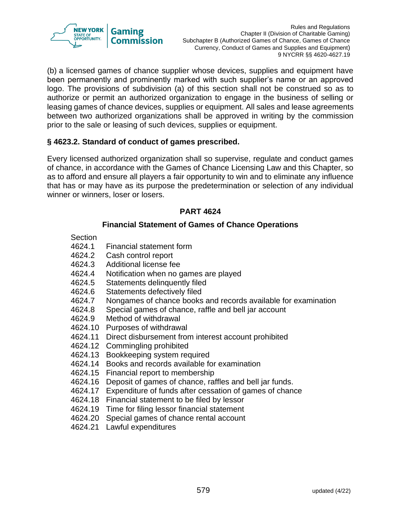

(b) a licensed games of chance supplier whose devices, supplies and equipment have been permanently and prominently marked with such supplier's name or an approved logo. The provisions of subdivision (a) of this section shall not be construed so as to authorize or permit an authorized organization to engage in the business of selling or leasing games of chance devices, supplies or equipment. All sales and lease agreements between two authorized organizations shall be approved in writing by the commission prior to the sale or leasing of such devices, supplies or equipment.

## **§ 4623.2. Standard of conduct of games prescribed.**

Every licensed authorized organization shall so supervise, regulate and conduct games of chance, in accordance with the Games of Chance Licensing Law and this Chapter, so as to afford and ensure all players a fair opportunity to win and to eliminate any influence that has or may have as its purpose the predetermination or selection of any individual winner or winners, loser or losers.

## **PART 4624**

## **Financial Statement of Games of Chance Operations**

- **Section**
- 4624.1 Financial statement form
- 4624.2 Cash control report
- 4624.3 Additional license fee
- 4624.4 Notification when no games are played
- 4624.5 Statements delinquently filed
- 4624.6 Statements defectively filed
- 4624.7 Nongames of chance books and records available for examination
- 4624.8 Special games of chance, raffle and bell jar account
- 4624.9 Method of withdrawal
- 4624.10 Purposes of withdrawal
- 4624.11 Direct disbursement from interest account prohibited
- 4624.12 Commingling prohibited
- 4624.13 Bookkeeping system required
- 4624.14 Books and records available for examination
- 4624.15 Financial report to membership
- 4624.16 Deposit of games of chance, raffles and bell jar funds.
- 4624.17 Expenditure of funds after cessation of games of chance
- 4624.18 Financial statement to be filed by lessor
- 4624.19 Time for filing lessor financial statement
- 4624.20 Special games of chance rental account
- 4624.21 Lawful expenditures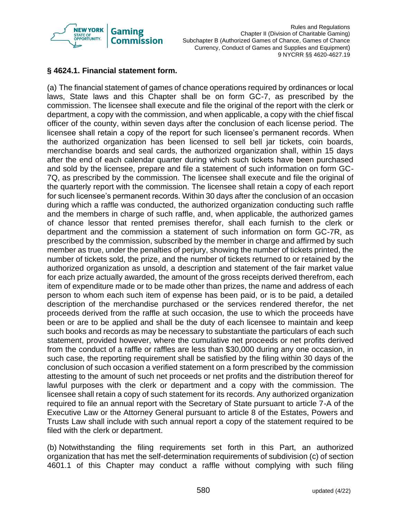

## **§ 4624.1. Financial statement form.**

(a) The financial statement of games of chance operations required by ordinances or local laws, State laws and this Chapter shall be on form GC-7, as prescribed by the commission. The licensee shall execute and file the original of the report with the clerk or department, a copy with the commission, and when applicable, a copy with the chief fiscal officer of the county, within seven days after the conclusion of each license period. The licensee shall retain a copy of the report for such licensee's permanent records. When the authorized organization has been licensed to sell bell jar tickets, coin boards, merchandise boards and seal cards, the authorized organization shall, within 15 days after the end of each calendar quarter during which such tickets have been purchased and sold by the licensee, prepare and file a statement of such information on form GC-7Q, as prescribed by the commission. The licensee shall execute and file the original of the quarterly report with the commission. The licensee shall retain a copy of each report for such licensee's permanent records. Within 30 days after the conclusion of an occasion during which a raffle was conducted, the authorized organization conducting such raffle and the members in charge of such raffle, and, when applicable, the authorized games of chance lessor that rented premises therefor, shall each furnish to the clerk or department and the commission a statement of such information on form GC-7R, as prescribed by the commission, subscribed by the member in charge and affirmed by such member as true, under the penalties of perjury, showing the number of tickets printed, the number of tickets sold, the prize, and the number of tickets returned to or retained by the authorized organization as unsold, a description and statement of the fair market value for each prize actually awarded, the amount of the gross receipts derived therefrom, each item of expenditure made or to be made other than prizes, the name and address of each person to whom each such item of expense has been paid, or is to be paid, a detailed description of the merchandise purchased or the services rendered therefor, the net proceeds derived from the raffle at such occasion, the use to which the proceeds have been or are to be applied and shall be the duty of each licensee to maintain and keep such books and records as may be necessary to substantiate the particulars of each such statement, provided however, where the cumulative net proceeds or net profits derived from the conduct of a raffle or raffles are less than \$30,000 during any one occasion, in such case, the reporting requirement shall be satisfied by the filing within 30 days of the conclusion of such occasion a verified statement on a form prescribed by the commission attesting to the amount of such net proceeds or net profits and the distribution thereof for lawful purposes with the clerk or department and a copy with the commission. The licensee shall retain a copy of such statement for its records. Any authorized organization required to file an annual report with the Secretary of State pursuant to article 7-A of the Executive Law or the Attorney General pursuant to article 8 of the Estates, Powers and Trusts Law shall include with such annual report a copy of the statement required to be filed with the clerk or department.

(b) Notwithstanding the filing requirements set forth in this Part, an authorized organization that has met the self-determination requirements of subdivision (c) of section 4601.1 of this Chapter may conduct a raffle without complying with such filing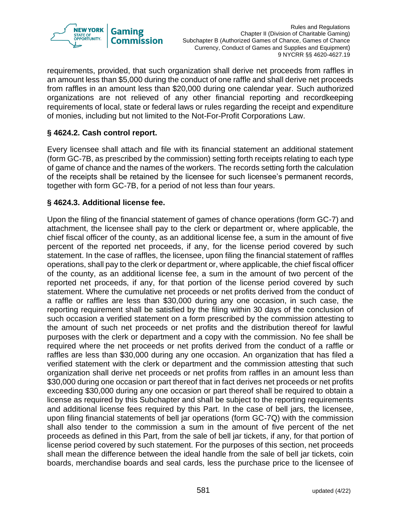

requirements, provided, that such organization shall derive net proceeds from raffles in an amount less than \$5,000 during the conduct of one raffle and shall derive net proceeds from raffles in an amount less than \$20,000 during one calendar year. Such authorized organizations are not relieved of any other financial reporting and recordkeeping requirements of local, state or federal laws or rules regarding the receipt and expenditure of monies, including but not limited to the Not-For-Profit Corporations Law.

## **§ 4624.2. Cash control report.**

Every licensee shall attach and file with its financial statement an additional statement (form GC-7B, as prescribed by the commission) setting forth receipts relating to each type of game of chance and the names of the workers. The records setting forth the calculation of the receipts shall be retained by the licensee for such licensee's permanent records, together with form GC-7B, for a period of not less than four years.

## **§ 4624.3. Additional license fee.**

Upon the filing of the financial statement of games of chance operations (form GC-7) and attachment, the licensee shall pay to the clerk or department or, where applicable, the chief fiscal officer of the county, as an additional license fee, a sum in the amount of five percent of the reported net proceeds, if any, for the license period covered by such statement. In the case of raffles, the licensee, upon filing the financial statement of raffles operations, shall pay to the clerk or department or, where applicable, the chief fiscal officer of the county, as an additional license fee, a sum in the amount of two percent of the reported net proceeds, if any, for that portion of the license period covered by such statement. Where the cumulative net proceeds or net profits derived from the conduct of a raffle or raffles are less than \$30,000 during any one occasion, in such case, the reporting requirement shall be satisfied by the filing within 30 days of the conclusion of such occasion a verified statement on a form prescribed by the commission attesting to the amount of such net proceeds or net profits and the distribution thereof for lawful purposes with the clerk or department and a copy with the commission. No fee shall be required where the net proceeds or net profits derived from the conduct of a raffle or raffles are less than \$30,000 during any one occasion. An organization that has filed a verified statement with the clerk or department and the commission attesting that such organization shall derive net proceeds or net profits from raffles in an amount less than \$30,000 during one occasion or part thereof that in fact derives net proceeds or net profits exceeding \$30,000 during any one occasion or part thereof shall be required to obtain a license as required by this Subchapter and shall be subject to the reporting requirements and additional license fees required by this Part. In the case of bell jars, the licensee, upon filing financial statements of bell jar operations (form GC-7Q) with the commission shall also tender to the commission a sum in the amount of five percent of the net proceeds as defined in this Part, from the sale of bell jar tickets, if any, for that portion of license period covered by such statement. For the purposes of this section, net proceeds shall mean the difference between the ideal handle from the sale of bell jar tickets, coin boards, merchandise boards and seal cards, less the purchase price to the licensee of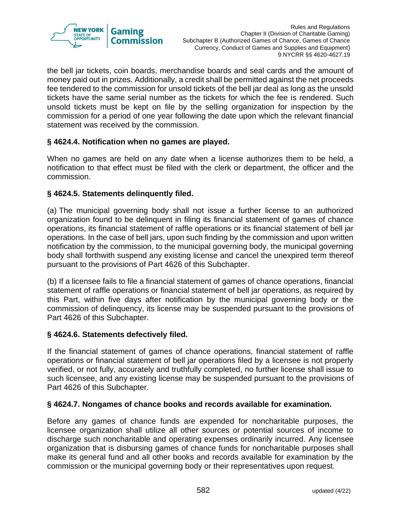

the bell jar tickets, coin boards, merchandise boards and seal cards and the amount of money paid out in prizes. Additionally, a credit shall be permitted against the net proceeds fee tendered to the commission for unsold tickets of the bell jar deal as long as the unsold tickets have the same serial number as the tickets for which the fee is rendered. Such unsold tickets must be kept on file by the selling organization for inspection by the commission for a period of one year following the date upon which the relevant financial statement was received by the commission.

## **§ 4624.4. Notification when no games are played.**

When no games are held on any date when a license authorizes them to be held, a notification to that effect must be filed with the clerk or department, the officer and the commission.

## **§ 4624.5. Statements delinquently filed.**

(a) The municipal governing body shall not issue a further license to an authorized organization found to be delinquent in filing its financial statement of games of chance operations, its financial statement of raffle operations or its financial statement of bell jar operations. In the case of bell jars, upon such finding by the commission and upon written notification by the commission, to the municipal governing body, the municipal governing body shall forthwith suspend any existing license and cancel the unexpired term thereof pursuant to the provisions of Part 4626 of this Subchapter.

(b) If a licensee fails to file a financial statement of games of chance operations, financial statement of raffle operations or financial statement of bell jar operations, as required by this Part, within five days after notification by the municipal governing body or the commission of delinquency, its license may be suspended pursuant to the provisions of Part 4626 of this Subchapter.

## **§ 4624.6. Statements defectively filed.**

If the financial statement of games of chance operations, financial statement of raffle operations or financial statement of bell jar operations filed by a licensee is not properly verified, or not fully, accurately and truthfully completed, no further license shall issue to such licensee, and any existing license may be suspended pursuant to the provisions of Part 4626 of this Subchapter.

## **§ 4624.7. Nongames of chance books and records available for examination.**

Before any games of chance funds are expended for noncharitable purposes, the licensee organization shall utilize all other sources or potential sources of income to discharge such noncharitable and operating expenses ordinarily incurred. Any licensee organization that is disbursing games of chance funds for noncharitable purposes shall make its general fund and all other books and records available for examination by the commission or the municipal governing body or their representatives upon request.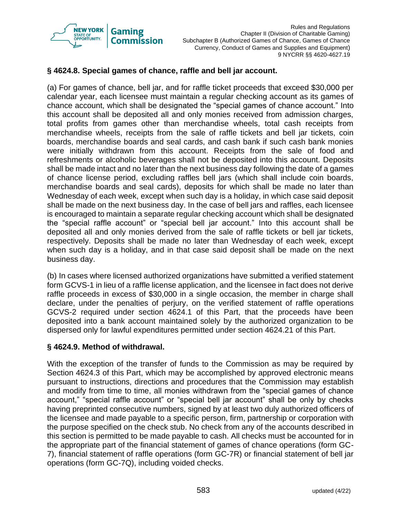

## **§ 4624.8. Special games of chance, raffle and bell jar account.**

(a) For games of chance, bell jar, and for raffle ticket proceeds that exceed \$30,000 per calendar year, each licensee must maintain a regular checking account as its games of chance account, which shall be designated the "special games of chance account." Into this account shall be deposited all and only monies received from admission charges, total profits from games other than merchandise wheels, total cash receipts from merchandise wheels, receipts from the sale of raffle tickets and bell jar tickets, coin boards, merchandise boards and seal cards, and cash bank if such cash bank monies were initially withdrawn from this account. Receipts from the sale of food and refreshments or alcoholic beverages shall not be deposited into this account. Deposits shall be made intact and no later than the next business day following the date of a games of chance license period, excluding raffles bell jars (which shall include coin boards, merchandise boards and seal cards), deposits for which shall be made no later than Wednesday of each week, except when such day is a holiday, in which case said deposit shall be made on the next business day. In the case of bell jars and raffles, each licensee is encouraged to maintain a separate regular checking account which shall be designated the "special raffle account" or "special bell jar account." Into this account shall be deposited all and only monies derived from the sale of raffle tickets or bell jar tickets, respectively. Deposits shall be made no later than Wednesday of each week, except when such day is a holiday, and in that case said deposit shall be made on the next business day.

(b) In cases where licensed authorized organizations have submitted a verified statement form GCVS-1 in lieu of a raffle license application, and the licensee in fact does not derive raffle proceeds in excess of \$30,000 in a single occasion, the member in charge shall declare, under the penalties of perjury, on the verified statement of raffle operations GCVS-2 required under section 4624.1 of this Part, that the proceeds have been deposited into a bank account maintained solely by the authorized organization to be dispersed only for lawful expenditures permitted under section 4624.21 of this Part.

## **§ 4624.9. Method of withdrawal.**

With the exception of the transfer of funds to the Commission as may be required by Section 4624.3 of this Part, which may be accomplished by approved electronic means pursuant to instructions, directions and procedures that the Commission may establish and modify from time to time, all monies withdrawn from the "special games of chance account," "special raffle account" or "special bell jar account" shall be only by checks having preprinted consecutive numbers, signed by at least two duly authorized officers of the licensee and made payable to a specific person, firm, partnership or corporation with the purpose specified on the check stub. No check from any of the accounts described in this section is permitted to be made payable to cash. All checks must be accounted for in the appropriate part of the financial statement of games of chance operations (form GC-7), financial statement of raffle operations (form GC-7R) or financial statement of bell jar operations (form GC-7Q), including voided checks.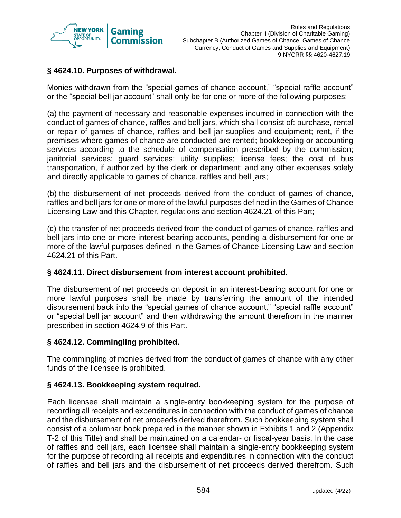

## **§ 4624.10. Purposes of withdrawal.**

Monies withdrawn from the "special games of chance account," "special raffle account" or the "special bell jar account" shall only be for one or more of the following purposes:

(a) the payment of necessary and reasonable expenses incurred in connection with the conduct of games of chance, raffles and bell jars, which shall consist of: purchase, rental or repair of games of chance, raffles and bell jar supplies and equipment; rent, if the premises where games of chance are conducted are rented; bookkeeping or accounting services according to the schedule of compensation prescribed by the commission; janitorial services; guard services; utility supplies; license fees; the cost of bus transportation, if authorized by the clerk or department; and any other expenses solely and directly applicable to games of chance, raffles and bell jars;

(b) the disbursement of net proceeds derived from the conduct of games of chance, raffles and bell jars for one or more of the lawful purposes defined in the Games of Chance Licensing Law and this Chapter, regulations and section 4624.21 of this Part;

(c) the transfer of net proceeds derived from the conduct of games of chance, raffles and bell jars into one or more interest-bearing accounts, pending a disbursement for one or more of the lawful purposes defined in the Games of Chance Licensing Law and section 4624.21 of this Part.

## **§ 4624.11. Direct disbursement from interest account prohibited.**

The disbursement of net proceeds on deposit in an interest-bearing account for one or more lawful purposes shall be made by transferring the amount of the intended disbursement back into the "special games of chance account," "special raffle account" or "special bell jar account" and then withdrawing the amount therefrom in the manner prescribed in section 4624.9 of this Part.

## **§ 4624.12. Commingling prohibited.**

The commingling of monies derived from the conduct of games of chance with any other funds of the licensee is prohibited.

## **§ 4624.13. Bookkeeping system required.**

Each licensee shall maintain a single-entry bookkeeping system for the purpose of recording all receipts and expenditures in connection with the conduct of games of chance and the disbursement of net proceeds derived therefrom. Such bookkeeping system shall consist of a columnar book prepared in the manner shown in Exhibits 1 and 2 (Appendix T-2 of this Title) and shall be maintained on a calendar- or fiscal-year basis. In the case of raffles and bell jars, each licensee shall maintain a single-entry bookkeeping system for the purpose of recording all receipts and expenditures in connection with the conduct of raffles and bell jars and the disbursement of net proceeds derived therefrom. Such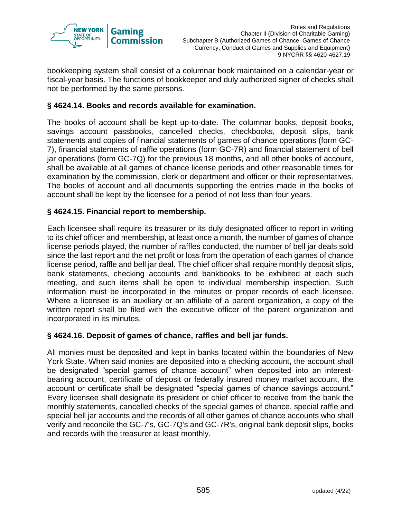

bookkeeping system shall consist of a columnar book maintained on a calendar-year or fiscal-year basis. The functions of bookkeeper and duly authorized signer of checks shall not be performed by the same persons.

## **§ 4624.14. Books and records available for examination.**

The books of account shall be kept up-to-date. The columnar books, deposit books, savings account passbooks, cancelled checks, checkbooks, deposit slips, bank statements and copies of financial statements of games of chance operations (form GC-7), financial statements of raffle operations (form GC-7R) and financial statement of bell jar operations (form GC-7Q) for the previous 18 months, and all other books of account, shall be available at all games of chance license periods and other reasonable times for examination by the commission, clerk or department and officer or their representatives. The books of account and all documents supporting the entries made in the books of account shall be kept by the licensee for a period of not less than four years.

## **§ 4624.15. Financial report to membership.**

Each licensee shall require its treasurer or its duly designated officer to report in writing to its chief officer and membership, at least once a month, the number of games of chance license periods played, the number of raffles conducted, the number of bell jar deals sold since the last report and the net profit or loss from the operation of each games of chance license period, raffle and bell jar deal. The chief officer shall require monthly deposit slips, bank statements, checking accounts and bankbooks to be exhibited at each such meeting, and such items shall be open to individual membership inspection. Such information must be incorporated in the minutes or proper records of each licensee. Where a licensee is an auxiliary or an affiliate of a parent organization, a copy of the written report shall be filed with the executive officer of the parent organization and incorporated in its minutes.

## **§ 4624.16. Deposit of games of chance, raffles and bell jar funds.**

All monies must be deposited and kept in banks located within the boundaries of New York State. When said monies are deposited into a checking account, the account shall be designated "special games of chance account" when deposited into an interestbearing account, certificate of deposit or federally insured money market account, the account or certificate shall be designated "special games of chance savings account." Every licensee shall designate its president or chief officer to receive from the bank the monthly statements, cancelled checks of the special games of chance, special raffle and special bell jar accounts and the records of all other games of chance accounts who shall verify and reconcile the GC-7's, GC-7Q's and GC-7R's, original bank deposit slips, books and records with the treasurer at least monthly.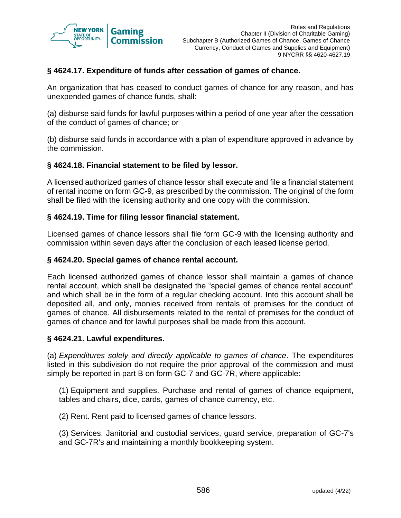

## **§ 4624.17. Expenditure of funds after cessation of games of chance.**

An organization that has ceased to conduct games of chance for any reason, and has unexpended games of chance funds, shall:

(a) disburse said funds for lawful purposes within a period of one year after the cessation of the conduct of games of chance; or

(b) disburse said funds in accordance with a plan of expenditure approved in advance by the commission.

#### **§ 4624.18. Financial statement to be filed by lessor.**

A licensed authorized games of chance lessor shall execute and file a financial statement of rental income on form GC-9, as prescribed by the commission. The original of the form shall be filed with the licensing authority and one copy with the commission.

#### **§ 4624.19. Time for filing lessor financial statement.**

Licensed games of chance lessors shall file form GC-9 with the licensing authority and commission within seven days after the conclusion of each leased license period.

#### **§ 4624.20. Special games of chance rental account.**

Each licensed authorized games of chance lessor shall maintain a games of chance rental account, which shall be designated the "special games of chance rental account" and which shall be in the form of a regular checking account. Into this account shall be deposited all, and only, monies received from rentals of premises for the conduct of games of chance. All disbursements related to the rental of premises for the conduct of games of chance and for lawful purposes shall be made from this account.

#### **§ 4624.21. Lawful expenditures.**

(a) *Expenditures solely and directly applicable to games of chance*. The expenditures listed in this subdivision do not require the prior approval of the commission and must simply be reported in part B on form GC-7 and GC-7R, where applicable:

(1) Equipment and supplies. Purchase and rental of games of chance equipment, tables and chairs, dice, cards, games of chance currency, etc.

(2) Rent. Rent paid to licensed games of chance lessors.

(3) Services. Janitorial and custodial services, guard service, preparation of GC-7's and GC-7R's and maintaining a monthly bookkeeping system.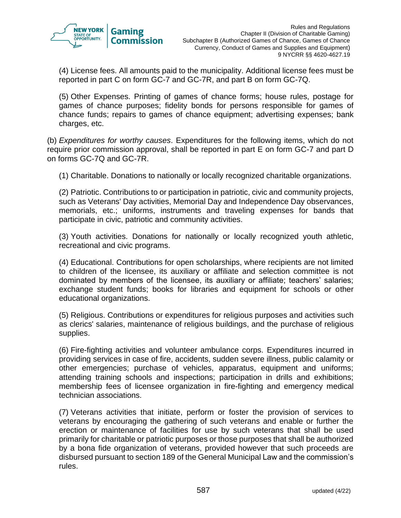

(4) License fees. All amounts paid to the municipality. Additional license fees must be reported in part C on form GC-7 and GC-7R, and part B on form GC-7Q.

(5) Other Expenses. Printing of games of chance forms; house rules, postage for games of chance purposes; fidelity bonds for persons responsible for games of chance funds; repairs to games of chance equipment; advertising expenses; bank charges, etc.

(b) *Expenditures for worthy causes*. Expenditures for the following items, which do not require prior commission approval, shall be reported in part E on form GC-7 and part D on forms GC-7Q and GC-7R.

(1) Charitable. Donations to nationally or locally recognized charitable organizations.

(2) Patriotic. Contributions to or participation in patriotic, civic and community projects, such as Veterans' Day activities, Memorial Day and Independence Day observances, memorials, etc.; uniforms, instruments and traveling expenses for bands that participate in civic, patriotic and community activities.

(3) Youth activities. Donations for nationally or locally recognized youth athletic, recreational and civic programs.

(4) Educational. Contributions for open scholarships, where recipients are not limited to children of the licensee, its auxiliary or affiliate and selection committee is not dominated by members of the licensee, its auxiliary or affiliate; teachers' salaries; exchange student funds; books for libraries and equipment for schools or other educational organizations.

(5) Religious. Contributions or expenditures for religious purposes and activities such as clerics' salaries, maintenance of religious buildings, and the purchase of religious supplies.

(6) Fire-fighting activities and volunteer ambulance corps. Expenditures incurred in providing services in case of fire, accidents, sudden severe illness, public calamity or other emergencies; purchase of vehicles, apparatus, equipment and uniforms; attending training schools and inspections; participation in drills and exhibitions; membership fees of licensee organization in fire-fighting and emergency medical technician associations.

(7) Veterans activities that initiate, perform or foster the provision of services to veterans by encouraging the gathering of such veterans and enable or further the erection or maintenance of facilities for use by such veterans that shall be used primarily for charitable or patriotic purposes or those purposes that shall be authorized by a bona fide organization of veterans, provided however that such proceeds are disbursed pursuant to section 189 of the General Municipal Law and the commission's rules.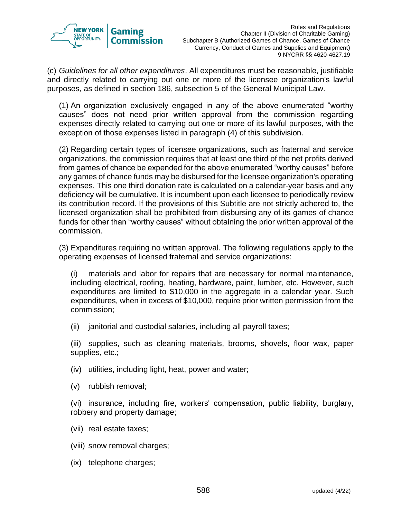

(c) *Guidelines for all other expenditures*. All expenditures must be reasonable, justifiable and directly related to carrying out one or more of the licensee organization's lawful purposes, as defined in section 186, subsection 5 of the General Municipal Law.

(1) An organization exclusively engaged in any of the above enumerated "worthy causes" does not need prior written approval from the commission regarding expenses directly related to carrying out one or more of its lawful purposes, with the exception of those expenses listed in paragraph (4) of this subdivision.

(2) Regarding certain types of licensee organizations, such as fraternal and service organizations, the commission requires that at least one third of the net profits derived from games of chance be expended for the above enumerated "worthy causes" before any games of chance funds may be disbursed for the licensee organization's operating expenses. This one third donation rate is calculated on a calendar-year basis and any deficiency will be cumulative. It is incumbent upon each licensee to periodically review its contribution record. If the provisions of this Subtitle are not strictly adhered to, the licensed organization shall be prohibited from disbursing any of its games of chance funds for other than "worthy causes" without obtaining the prior written approval of the commission.

(3) Expenditures requiring no written approval. The following regulations apply to the operating expenses of licensed fraternal and service organizations:

(i) materials and labor for repairs that are necessary for normal maintenance, including electrical, roofing, heating, hardware, paint, lumber, etc. However, such expenditures are limited to \$10,000 in the aggregate in a calendar year. Such expenditures, when in excess of \$10,000, require prior written permission from the commission;

(ii) janitorial and custodial salaries, including all payroll taxes;

(iii) supplies, such as cleaning materials, brooms, shovels, floor wax, paper supplies, etc.;

- (iv) utilities, including light, heat, power and water;
- (v) rubbish removal;

(vi) insurance, including fire, workers' compensation, public liability, burglary, robbery and property damage;

- (vii) real estate taxes;
- (viii) snow removal charges;
- (ix) telephone charges;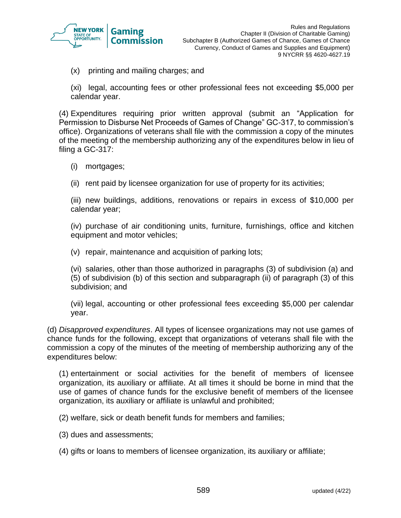

(x) printing and mailing charges; and

(xi) legal, accounting fees or other professional fees not exceeding \$5,000 per calendar year.

(4) Expenditures requiring prior written approval (submit an "Application for Permission to Disburse Net Proceeds of Games of Change" GC-317, to commission's office). Organizations of veterans shall file with the commission a copy of the minutes of the meeting of the membership authorizing any of the expenditures below in lieu of filing a GC-317:

- (i) mortgages;
- (ii) rent paid by licensee organization for use of property for its activities;

(iii) new buildings, additions, renovations or repairs in excess of \$10,000 per calendar year;

(iv) purchase of air conditioning units, furniture, furnishings, office and kitchen equipment and motor vehicles;

(v) repair, maintenance and acquisition of parking lots;

(vi) salaries, other than those authorized in paragraphs (3) of subdivision (a) and (5) of subdivision (b) of this section and subparagraph (ii) of paragraph (3) of this subdivision; and

(vii) legal, accounting or other professional fees exceeding \$5,000 per calendar year.

(d) *Disapproved expenditures*. All types of licensee organizations may not use games of chance funds for the following, except that organizations of veterans shall file with the commission a copy of the minutes of the meeting of membership authorizing any of the expenditures below:

(1) entertainment or social activities for the benefit of members of licensee organization, its auxiliary or affiliate. At all times it should be borne in mind that the use of games of chance funds for the exclusive benefit of members of the licensee organization, its auxiliary or affiliate is unlawful and prohibited;

(2) welfare, sick or death benefit funds for members and families;

(3) dues and assessments;

(4) gifts or loans to members of licensee organization, its auxiliary or affiliate;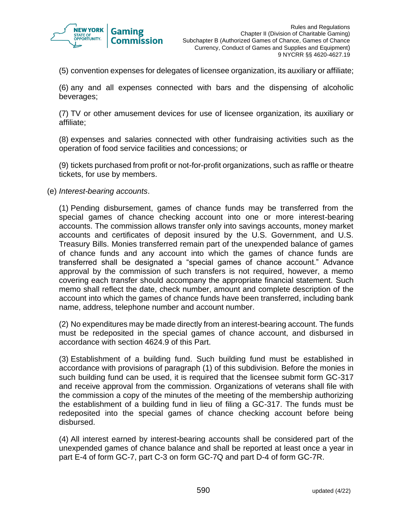

(5) convention expenses for delegates of licensee organization, its auxiliary or affiliate;

(6) any and all expenses connected with bars and the dispensing of alcoholic beverages;

(7) TV or other amusement devices for use of licensee organization, its auxiliary or affiliate;

(8) expenses and salaries connected with other fundraising activities such as the operation of food service facilities and concessions; or

(9) tickets purchased from profit or not-for-profit organizations, such as raffle or theatre tickets, for use by members.

(e) *Interest-bearing accounts*.

(1) Pending disbursement, games of chance funds may be transferred from the special games of chance checking account into one or more interest-bearing accounts. The commission allows transfer only into savings accounts, money market accounts and certificates of deposit insured by the U.S. Government, and U.S. Treasury Bills. Monies transferred remain part of the unexpended balance of games of chance funds and any account into which the games of chance funds are transferred shall be designated a "special games of chance account." Advance approval by the commission of such transfers is not required, however, a memo covering each transfer should accompany the appropriate financial statement. Such memo shall reflect the date, check number, amount and complete description of the account into which the games of chance funds have been transferred, including bank name, address, telephone number and account number.

(2) No expenditures may be made directly from an interest-bearing account. The funds must be redeposited in the special games of chance account, and disbursed in accordance with section 4624.9 of this Part.

(3) Establishment of a building fund. Such building fund must be established in accordance with provisions of paragraph (1) of this subdivision. Before the monies in such building fund can be used, it is required that the licensee submit form GC-317 and receive approval from the commission. Organizations of veterans shall file with the commission a copy of the minutes of the meeting of the membership authorizing the establishment of a building fund in lieu of filing a GC-317. The funds must be redeposited into the special games of chance checking account before being disbursed.

(4) All interest earned by interest-bearing accounts shall be considered part of the unexpended games of chance balance and shall be reported at least once a year in part E-4 of form GC-7, part C-3 on form GC-7Q and part D-4 of form GC-7R.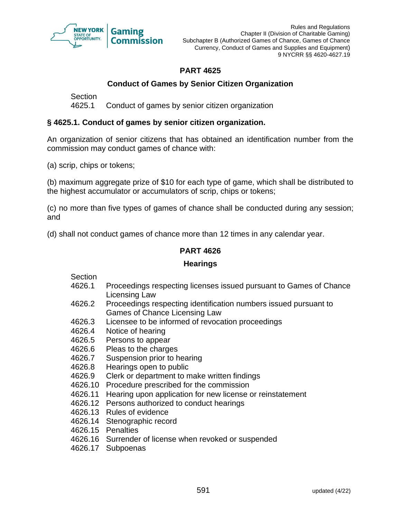

# **PART 4625**

# **Conduct of Games by Senior Citizen Organization**

**Section** 

4625.1 Conduct of games by senior citizen organization

## **§ 4625.1. Conduct of games by senior citizen organization.**

An organization of senior citizens that has obtained an identification number from the commission may conduct games of chance with:

(a) scrip, chips or tokens;

(b) maximum aggregate prize of \$10 for each type of game, which shall be distributed to the highest accumulator or accumulators of scrip, chips or tokens;

(c) no more than five types of games of chance shall be conducted during any session; and

(d) shall not conduct games of chance more than 12 times in any calendar year.

## **PART 4626**

#### **Hearings**

Section

- 4626.1 Proceedings respecting licenses issued pursuant to Games of Chance Licensing Law
- 4626.2 Proceedings respecting identification numbers issued pursuant to Games of Chance Licensing Law
- 4626.3 Licensee to be informed of revocation proceedings
- 4626.4 Notice of hearing
- 4626.5 Persons to appear
- 4626.6 Pleas to the charges
- 4626.7 Suspension prior to hearing
- 4626.8 Hearings open to public
- 4626.9 Clerk or department to make written findings
- 4626.10 Procedure prescribed for the commission
- 4626.11 Hearing upon application for new license or reinstatement
- 4626.12 Persons authorized to conduct hearings
- 4626.13 Rules of evidence
- 4626.14 Stenographic record
- 4626.15 Penalties
- 4626.16 Surrender of license when revoked or suspended
- 4626.17 Subpoenas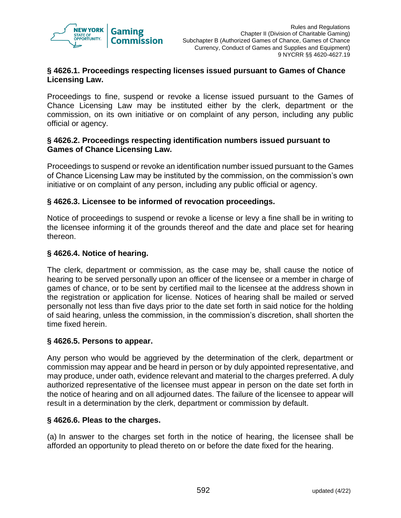

## **§ 4626.1. Proceedings respecting licenses issued pursuant to Games of Chance Licensing Law.**

Proceedings to fine, suspend or revoke a license issued pursuant to the Games of Chance Licensing Law may be instituted either by the clerk, department or the commission, on its own initiative or on complaint of any person, including any public official or agency.

#### **§ 4626.2. Proceedings respecting identification numbers issued pursuant to Games of Chance Licensing Law.**

Proceedings to suspend or revoke an identification number issued pursuant to the Games of Chance Licensing Law may be instituted by the commission, on the commission's own initiative or on complaint of any person, including any public official or agency.

## **§ 4626.3. Licensee to be informed of revocation proceedings.**

Notice of proceedings to suspend or revoke a license or levy a fine shall be in writing to the licensee informing it of the grounds thereof and the date and place set for hearing thereon.

## **§ 4626.4. Notice of hearing.**

The clerk, department or commission, as the case may be, shall cause the notice of hearing to be served personally upon an officer of the licensee or a member in charge of games of chance, or to be sent by certified mail to the licensee at the address shown in the registration or application for license. Notices of hearing shall be mailed or served personally not less than five days prior to the date set forth in said notice for the holding of said hearing, unless the commission, in the commission's discretion, shall shorten the time fixed herein.

#### **§ 4626.5. Persons to appear.**

Any person who would be aggrieved by the determination of the clerk, department or commission may appear and be heard in person or by duly appointed representative, and may produce, under oath, evidence relevant and material to the charges preferred. A duly authorized representative of the licensee must appear in person on the date set forth in the notice of hearing and on all adjourned dates. The failure of the licensee to appear will result in a determination by the clerk, department or commission by default.

#### **§ 4626.6. Pleas to the charges.**

(a) In answer to the charges set forth in the notice of hearing, the licensee shall be afforded an opportunity to plead thereto on or before the date fixed for the hearing.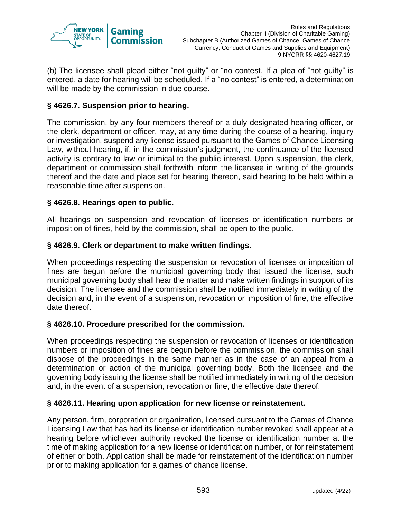

(b) The licensee shall plead either "not guilty" or "no contest. If a plea of "not guilty" is entered, a date for hearing will be scheduled. If a "no contest" is entered, a determination will be made by the commission in due course.

## **§ 4626.7. Suspension prior to hearing.**

The commission, by any four members thereof or a duly designated hearing officer, or the clerk, department or officer, may, at any time during the course of a hearing, inquiry or investigation, suspend any license issued pursuant to the Games of Chance Licensing Law, without hearing, if, in the commission's judgment, the continuance of the licensed activity is contrary to law or inimical to the public interest. Upon suspension, the clerk, department or commission shall forthwith inform the licensee in writing of the grounds thereof and the date and place set for hearing thereon, said hearing to be held within a reasonable time after suspension.

## **§ 4626.8. Hearings open to public.**

All hearings on suspension and revocation of licenses or identification numbers or imposition of fines, held by the commission, shall be open to the public.

#### **§ 4626.9. Clerk or department to make written findings.**

When proceedings respecting the suspension or revocation of licenses or imposition of fines are begun before the municipal governing body that issued the license, such municipal governing body shall hear the matter and make written findings in support of its decision. The licensee and the commission shall be notified immediately in writing of the decision and, in the event of a suspension, revocation or imposition of fine, the effective date thereof.

## **§ 4626.10. Procedure prescribed for the commission.**

When proceedings respecting the suspension or revocation of licenses or identification numbers or imposition of fines are begun before the commission, the commission shall dispose of the proceedings in the same manner as in the case of an appeal from a determination or action of the municipal governing body. Both the licensee and the governing body issuing the license shall be notified immediately in writing of the decision and, in the event of a suspension, revocation or fine, the effective date thereof.

#### **§ 4626.11. Hearing upon application for new license or reinstatement.**

Any person, firm, corporation or organization, licensed pursuant to the Games of Chance Licensing Law that has had its license or identification number revoked shall appear at a hearing before whichever authority revoked the license or identification number at the time of making application for a new license or identification number, or for reinstatement of either or both. Application shall be made for reinstatement of the identification number prior to making application for a games of chance license.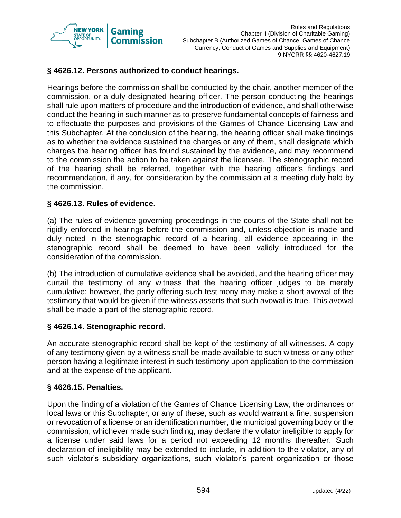

## **§ 4626.12. Persons authorized to conduct hearings.**

Hearings before the commission shall be conducted by the chair, another member of the commission, or a duly designated hearing officer. The person conducting the hearings shall rule upon matters of procedure and the introduction of evidence, and shall otherwise conduct the hearing in such manner as to preserve fundamental concepts of fairness and to effectuate the purposes and provisions of the Games of Chance Licensing Law and this Subchapter. At the conclusion of the hearing, the hearing officer shall make findings as to whether the evidence sustained the charges or any of them, shall designate which charges the hearing officer has found sustained by the evidence, and may recommend to the commission the action to be taken against the licensee. The stenographic record of the hearing shall be referred, together with the hearing officer's findings and recommendation, if any, for consideration by the commission at a meeting duly held by the commission.

#### **§ 4626.13. Rules of evidence.**

(a) The rules of evidence governing proceedings in the courts of the State shall not be rigidly enforced in hearings before the commission and, unless objection is made and duly noted in the stenographic record of a hearing, all evidence appearing in the stenographic record shall be deemed to have been validly introduced for the consideration of the commission.

(b) The introduction of cumulative evidence shall be avoided, and the hearing officer may curtail the testimony of any witness that the hearing officer judges to be merely cumulative; however, the party offering such testimony may make a short avowal of the testimony that would be given if the witness asserts that such avowal is true. This avowal shall be made a part of the stenographic record.

#### **§ 4626.14. Stenographic record.**

An accurate stenographic record shall be kept of the testimony of all witnesses. A copy of any testimony given by a witness shall be made available to such witness or any other person having a legitimate interest in such testimony upon application to the commission and at the expense of the applicant.

## **§ 4626.15. Penalties.**

Upon the finding of a violation of the Games of Chance Licensing Law, the ordinances or local laws or this Subchapter, or any of these, such as would warrant a fine, suspension or revocation of a license or an identification number, the municipal governing body or the commission, whichever made such finding, may declare the violator ineligible to apply for a license under said laws for a period not exceeding 12 months thereafter. Such declaration of ineligibility may be extended to include, in addition to the violator, any of such violator's subsidiary organizations, such violator's parent organization or those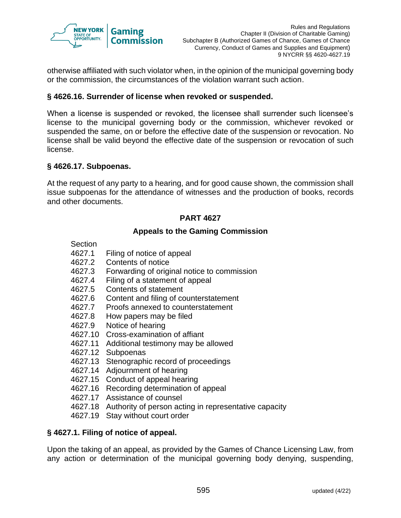

otherwise affiliated with such violator when, in the opinion of the municipal governing body or the commission, the circumstances of the violation warrant such action.

## **§ 4626.16. Surrender of license when revoked or suspended.**

When a license is suspended or revoked, the licensee shall surrender such licensee's license to the municipal governing body or the commission, whichever revoked or suspended the same, on or before the effective date of the suspension or revocation. No license shall be valid beyond the effective date of the suspension or revocation of such license.

## **§ 4626.17. Subpoenas.**

At the request of any party to a hearing, and for good cause shown, the commission shall issue subpoenas for the attendance of witnesses and the production of books, records and other documents.

## **PART 4627**

#### **Appeals to the Gaming Commission**

- Section
- 4627.1 Filing of notice of appeal
- 4627.2 Contents of notice
- 4627.3 Forwarding of original notice to commission
- 4627.4 Filing of a statement of appeal
- 4627.5 Contents of statement
- 4627.6 Content and filing of counterstatement
- 4627.7 Proofs annexed to counterstatement<br>4627.8 How papers may be filed
- How papers may be filed
- 4627.9 Notice of hearing
- 4627.10 Cross-examination of affiant
- 4627.11 Additional testimony may be allowed
- 4627.12 Subpoenas
- 4627.13 Stenographic record of proceedings
- 4627.14 Adjournment of hearing
- 4627.15 Conduct of appeal hearing
- 4627.16 Recording determination of appeal
- 4627.17 Assistance of counsel
- 4627.18 Authority of person acting in representative capacity
- 4627.19 Stay without court order

#### **§ 4627.1. Filing of notice of appeal.**

Upon the taking of an appeal, as provided by the Games of Chance Licensing Law, from any action or determination of the municipal governing body denying, suspending,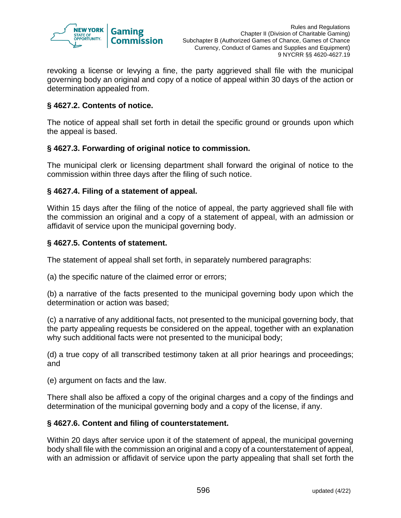

revoking a license or levying a fine, the party aggrieved shall file with the municipal governing body an original and copy of a notice of appeal within 30 days of the action or determination appealed from.

## **§ 4627.2. Contents of notice.**

The notice of appeal shall set forth in detail the specific ground or grounds upon which the appeal is based.

## **§ 4627.3. Forwarding of original notice to commission.**

The municipal clerk or licensing department shall forward the original of notice to the commission within three days after the filing of such notice.

## **§ 4627.4. Filing of a statement of appeal.**

Within 15 days after the filing of the notice of appeal, the party aggrieved shall file with the commission an original and a copy of a statement of appeal, with an admission or affidavit of service upon the municipal governing body.

## **§ 4627.5. Contents of statement.**

The statement of appeal shall set forth, in separately numbered paragraphs:

(a) the specific nature of the claimed error or errors;

(b) a narrative of the facts presented to the municipal governing body upon which the determination or action was based;

(c) a narrative of any additional facts, not presented to the municipal governing body, that the party appealing requests be considered on the appeal, together with an explanation why such additional facts were not presented to the municipal body;

(d) a true copy of all transcribed testimony taken at all prior hearings and proceedings; and

(e) argument on facts and the law.

There shall also be affixed a copy of the original charges and a copy of the findings and determination of the municipal governing body and a copy of the license, if any.

## **§ 4627.6. Content and filing of counterstatement.**

Within 20 days after service upon it of the statement of appeal, the municipal governing body shall file with the commission an original and a copy of a counterstatement of appeal, with an admission or affidavit of service upon the party appealing that shall set forth the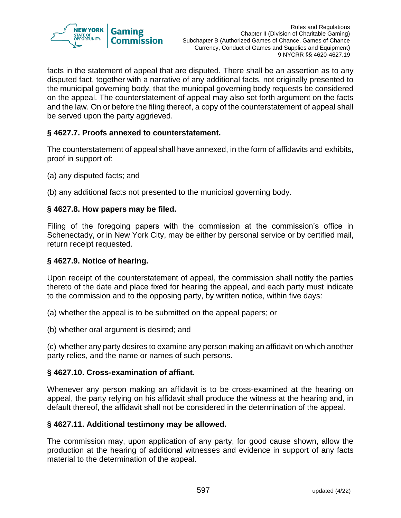

facts in the statement of appeal that are disputed. There shall be an assertion as to any disputed fact, together with a narrative of any additional facts, not originally presented to the municipal governing body, that the municipal governing body requests be considered on the appeal. The counterstatement of appeal may also set forth argument on the facts and the law. On or before the filing thereof, a copy of the counterstatement of appeal shall be served upon the party aggrieved.

## **§ 4627.7. Proofs annexed to counterstatement.**

The counterstatement of appeal shall have annexed, in the form of affidavits and exhibits, proof in support of:

(a) any disputed facts; and

(b) any additional facts not presented to the municipal governing body.

#### **§ 4627.8. How papers may be filed.**

Filing of the foregoing papers with the commission at the commission's office in Schenectady, or in New York City, may be either by personal service or by certified mail, return receipt requested.

#### **§ 4627.9. Notice of hearing.**

Upon receipt of the counterstatement of appeal, the commission shall notify the parties thereto of the date and place fixed for hearing the appeal, and each party must indicate to the commission and to the opposing party, by written notice, within five days:

(a) whether the appeal is to be submitted on the appeal papers; or

(b) whether oral argument is desired; and

(c) whether any party desires to examine any person making an affidavit on which another party relies, and the name or names of such persons.

#### **§ 4627.10. Cross-examination of affiant.**

Whenever any person making an affidavit is to be cross-examined at the hearing on appeal, the party relying on his affidavit shall produce the witness at the hearing and, in default thereof, the affidavit shall not be considered in the determination of the appeal.

#### **§ 4627.11. Additional testimony may be allowed.**

The commission may, upon application of any party, for good cause shown, allow the production at the hearing of additional witnesses and evidence in support of any facts material to the determination of the appeal.